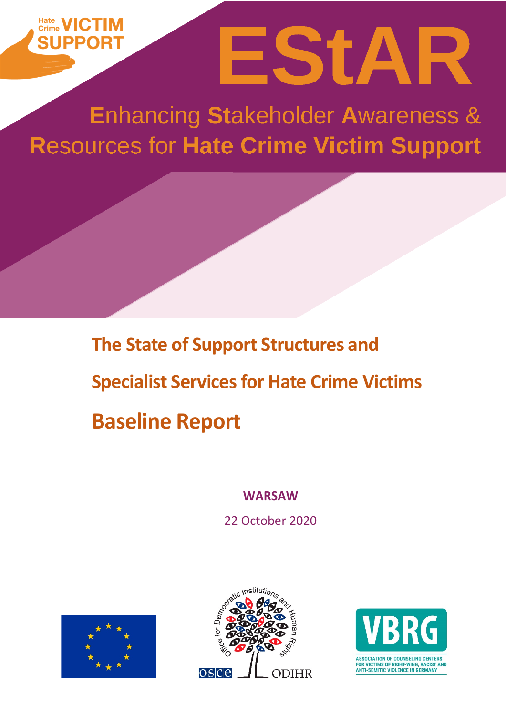# EStAR **SHPPOR**

**Enhancing Stakeholder Awareness & Resources for Hate Crime Victim Support** 

> **The State of Support Structures and Specialist Services for Hate Crime Victims Baseline Report**

> > **WARSAW**

22 October 2020





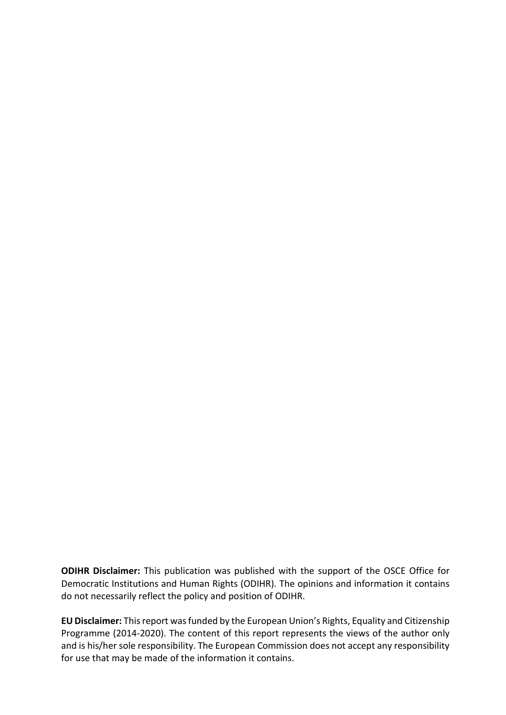**ODIHR Disclaimer:** This publication was published with the support of the OSCE Office for Democratic Institutions and Human Rights (ODIHR). The opinions and information it contains do not necessarily reflect the policy and position of ODIHR.

**EU Disclaimer:** This report was funded by the European Union's Rights, Equality and Citizenship Programme (2014-2020). The content of this report represents the views of the author only and is his/her sole responsibility. The European Commission does not accept any responsibility for use that may be made of the information it contains.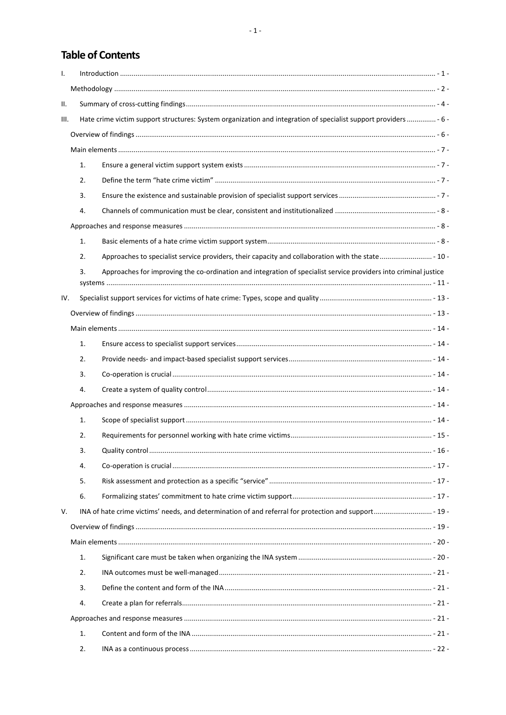# **Table of Contents**

| $\mathbf{I}$ . |                |                                                                                                                  |  |  |
|----------------|----------------|------------------------------------------------------------------------------------------------------------------|--|--|
|                |                |                                                                                                                  |  |  |
| Ш.             |                |                                                                                                                  |  |  |
| III.           |                | Hate crime victim support structures: System organization and integration of specialist support providers  - 6 - |  |  |
|                |                |                                                                                                                  |  |  |
|                |                |                                                                                                                  |  |  |
|                | 1.             |                                                                                                                  |  |  |
|                | 2.             |                                                                                                                  |  |  |
|                | 3.             |                                                                                                                  |  |  |
|                | 4.             |                                                                                                                  |  |  |
|                |                |                                                                                                                  |  |  |
|                | 1.             |                                                                                                                  |  |  |
|                | 2.             | Approaches to specialist service providers, their capacity and collaboration with the state - 10 -               |  |  |
|                | 3.             | Approaches for improving the co-ordination and integration of specialist service providers into criminal justice |  |  |
|                |                |                                                                                                                  |  |  |
| IV.            |                |                                                                                                                  |  |  |
|                |                |                                                                                                                  |  |  |
|                |                |                                                                                                                  |  |  |
|                | $\mathbf{1}$ . |                                                                                                                  |  |  |
|                | 2.             |                                                                                                                  |  |  |
|                | 3.             |                                                                                                                  |  |  |
|                | 4.             |                                                                                                                  |  |  |
|                |                |                                                                                                                  |  |  |
|                | 1.             |                                                                                                                  |  |  |
|                | 2.             |                                                                                                                  |  |  |
|                | 3.             |                                                                                                                  |  |  |
|                | 4.             |                                                                                                                  |  |  |
|                | 5.             |                                                                                                                  |  |  |
|                | 6.             |                                                                                                                  |  |  |
| V.             |                |                                                                                                                  |  |  |
|                |                |                                                                                                                  |  |  |
|                |                |                                                                                                                  |  |  |
|                | 1.             |                                                                                                                  |  |  |
|                | 2.             |                                                                                                                  |  |  |
|                | 3.             |                                                                                                                  |  |  |
|                | 4.             |                                                                                                                  |  |  |
|                |                |                                                                                                                  |  |  |
|                | 1.             |                                                                                                                  |  |  |
|                | 2.             |                                                                                                                  |  |  |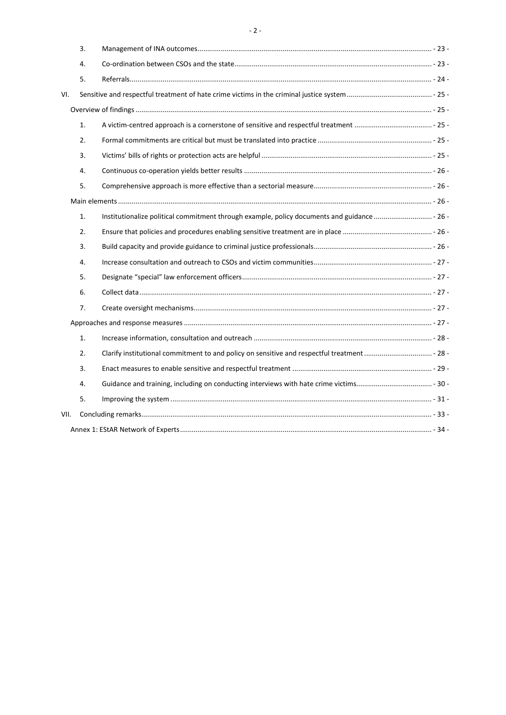|      | 3. |                                                                                              |  |
|------|----|----------------------------------------------------------------------------------------------|--|
|      | 4. |                                                                                              |  |
|      | 5. |                                                                                              |  |
| VI.  |    |                                                                                              |  |
|      |    |                                                                                              |  |
|      | 1. |                                                                                              |  |
|      | 2. |                                                                                              |  |
|      | 3. |                                                                                              |  |
|      | 4. |                                                                                              |  |
|      | 5. |                                                                                              |  |
|      |    |                                                                                              |  |
|      | 1. | Institutionalize political commitment through example, policy documents and guidance  - 26 - |  |
|      | 2. |                                                                                              |  |
|      | 3. |                                                                                              |  |
|      | 4. |                                                                                              |  |
|      | 5. |                                                                                              |  |
|      | 6. |                                                                                              |  |
|      | 7. |                                                                                              |  |
|      |    |                                                                                              |  |
|      | 1. |                                                                                              |  |
|      | 2. |                                                                                              |  |
|      | 3. |                                                                                              |  |
|      | 4. |                                                                                              |  |
|      | 5. |                                                                                              |  |
| VII. |    |                                                                                              |  |
|      |    |                                                                                              |  |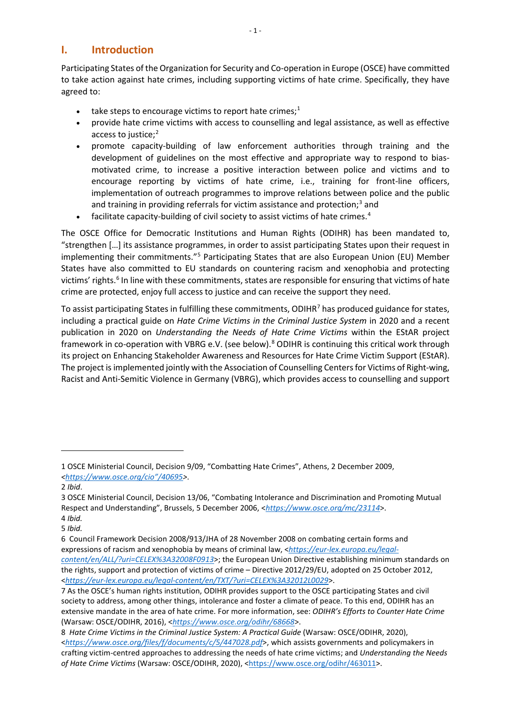# <span id="page-4-0"></span>**I. Introduction**

Participating States of the Organization for Security and Co-operation in Europe (OSCE) have committed to take action against hate crimes, including supporting victims of hate crime. Specifically, they have agreed to:

- take steps to encourage victims to report hate crimes;<sup>[1](#page-4-1)</sup>
- provide hate crime victims with access to counselling and legal assistance, as well as effective access to justice;<sup>[2](#page-4-2)</sup>
- promote capacity-building of law enforcement authorities through training and the development of guidelines on the most effective and appropriate way to respond to biasmotivated crime, to increase a positive interaction between police and victims and to encourage reporting by victims of hate crime, i.e., training for front-line officers, implementation of outreach programmes to improve relations between police and the public and training in providing referrals for victim assistance and protection;<sup>[3](#page-4-3)</sup> and
- facilitate capacity-building of civil society to assist victims of hate crimes.<sup>[4](#page-4-4)</sup>

The OSCE Office for Democratic Institutions and Human Rights (ODIHR) has been mandated to, "strengthen […] its assistance programmes, in order to assist participating States upon their request in implementing their commitments."[5](#page-4-5) Participating States that are also European Union (EU) Member States have also committed to EU standards on countering racism and xenophobia and protecting victims' rights.<sup>[6](#page-4-6)</sup> In line with these commitments, states are responsible for ensuring that victims of hate crime are protected, enjoy full access to justice and can receive the support they need.

To assist participating States in fulfilling these commitments, ODIHR<sup>[7](#page-4-7)</sup> has produced guidance for states, including a practical guide on *Hate Crime Victims in the Criminal Justice System* in 2020 and a recent publication in 2020 on *Understanding the Needs of Hate Crime Victims* within the EStAR project framework in co-operation with VBRG e.V. (see below).<sup>[8](#page-4-8)</sup> ODIHR is continuing this critical work through its project on Enhancing Stakeholder Awareness and Resources for Hate Crime Victim Support (EStAR). The project isimplemented jointly with the Association of Counselling Centers for Victims of Right-wing, Racist and Anti-Semitic Violence in Germany (VBRG), which provides access to counselling and support

<span id="page-4-1"></span><sup>1</sup> OSCE Ministerial Council, Decision 9/09, "Combatting Hate Crimes", Athens, 2 December 2009, *[<https://www.osce.org/cio"/40695>](https://www.osce.org/cio)*.

<span id="page-4-2"></span><sup>2</sup> *Ibid*.

<span id="page-4-3"></span><sup>3</sup> OSCE Ministerial Council, Decision 13/06, "Combating Intolerance and Discrimination and Promoting Mutual Respect and Understanding", Brussels, 5 December 2006, <*<https://www.osce.org/mc/23114>*>. 4 *Ibid.*

<span id="page-4-5"></span><span id="page-4-4"></span><sup>5</sup> *Ibid.*

<span id="page-4-6"></span><sup>6</sup> Council Framework Decision 2008/913/JHA of 28 November 2008 on combating certain forms and expressions of racism and xenophobia by means of criminal law, <*[https://eur-lex.europa.eu/legal](https://eur-lex.europa.eu/legal-content/en/ALL/?uri=CELEX%3A32008F0913)[content/en/ALL/?uri=CELEX%3A32008F0913](https://eur-lex.europa.eu/legal-content/en/ALL/?uri=CELEX%3A32008F0913)*>; the European Union Directive establishing minimum standards on the rights, support and protection of victims of crime – Directive 2012/29/EU, adopted on 25 October 2012, <*<https://eur-lex.europa.eu/legal-content/en/TXT/?uri=CELEX%3A32012L0029>*>.

<span id="page-4-7"></span><sup>7</sup> As the OSCE's human rights institution, ODIHR provides support to the OSCE participating States and civil society to address, among other things, intolerance and foster a climate of peace. To this end, ODIHR has an extensive mandate in the area of hate crime. For more information, see: *ODIHR's Efforts to Counter Hate Crime* (Warsaw: OSCE/ODIHR, 2016), <*<https://www.osce.org/odihr/68668>*>.

<span id="page-4-8"></span><sup>8</sup> *Hate Crime Victims in the Criminal Justice System: A Practical Guide* (Warsaw: OSCE/ODIHR, 2020), <*<https://www.osce.org/files/f/documents/c/5/447028.pdf>*>, which assists governments and policymakers in crafting victim-centred approaches to addressing the needs of hate crime victims; and *Understanding the Needs*  of Hate Crime Victims (Warsaw: OSCE/ODIHR, 2020), [<https://www.osce.org/odihr/463011>](https://www.osce.org/odihr/463011).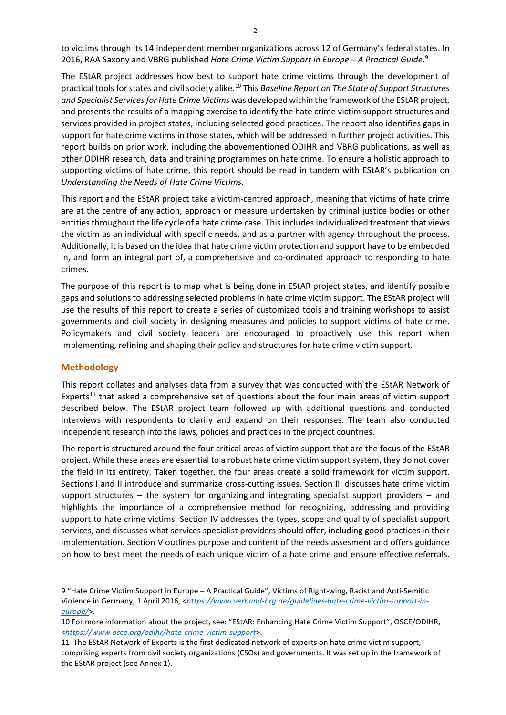to victims through its 14 independent member organizations across 12 of Germany's federal states. In 2016, RAA Saxony and VBRG published *Hate Crime Victim Support in Europe – A Practical Guide*. [9](#page-5-1)

The EStAR project addresses how best to support hate crime victims through the development of practical tools for states and civil society alike.[10](#page-5-2) This *Baseline Report on The State of Support Structures and Specialist Services for Hate Crime Victims* was developed within the framework of the EStAR project, and presents the results of a mapping exercise to identify the hate crime victim support structures and services provided in project states, including selected good practices. The report also identifies gaps in support for hate crime victims in those states, which will be addressed in further project activities. This report builds on prior work, including the abovementioned ODIHR and VBRG publications, as well as other ODIHR research, data and training programmes on hate crime. To ensure a holistic approach to supporting victims of hate crime, this report should be read in tandem with EStAR's publication on *Understanding the Needs of Hate Crime Victims.*

This report and the EStAR project take a victim-centred approach, meaning that victims of hate crime are at the centre of any action, approach or measure undertaken by criminal justice bodies or other entities throughout the life cycle of a hate crime case. This includes individualized treatment that views the victim as an individual with specific needs, and as a partner with agency throughout the process. Additionally, it is based on the idea that hate crime victim protection and support have to be embedded in, and form an integral part of, a comprehensive and co-ordinated approach to responding to hate crimes.

The purpose of this report is to map what is being done in EStAR project states, and identify possible gaps and solutions to addressing selected problems in hate crime victim support. The EStAR project will use the results of this report to create a series of customized tools and training workshops to assist governments and civil society in designing measures and policies to support victims of hate crime. Policymakers and civil society leaders are encouraged to proactively use this report when implementing, refining and shaping their policy and structures for hate crime victim support.

#### <span id="page-5-0"></span>**Methodology**

This report collates and analyses data from a survey that was conducted with the EStAR Network of Experts<sup>[11](#page-5-3)</sup> that asked a comprehensive set of questions about the four main areas of victim support described below. The EStAR project team followed up with additional questions and conducted interviews with respondents to clarify and expand on their responses. The team also conducted independent research into the laws, policies and practices in the project countries.

The report is structured around the four critical areas of victim support that are the focus of the EStAR project. While these areas are essential to a robust hate crime victim support system, they do not cover the field in its entirety. Taken together, the four areas create a solid framework for victim support. Sections I and II introduce and summarize cross-cutting issues. Section III discusses hate crime victim support structures – the system for organizing and integrating specialist support providers – and highlights the importance of a comprehensive method for recognizing, addressing and providing support to hate crime victims. Section IV addresses the types, scope and quality of specialist support services, and discusses what services specialist providers should offer, including good practices in their implementation. Section V outlines purpose and content of the needs assesment and offers guidance on how to best meet the needs of each unique victim of a hate crime and ensure effective referrals.

<span id="page-5-1"></span><sup>9</sup> "Hate Crime Victim Support in Europe – A Practical Guide", Victims of Right-wing, Racist and Anti-Semitic Violence in Germany, 1 April 2016, <*[https://www.verband-brg.de/guidelines-hate-crime-victim-support-in](https://www.verband-brg.de/guidelines-hate-crime-victim-support-in-europe/)[europe/](https://www.verband-brg.de/guidelines-hate-crime-victim-support-in-europe/)*>.

<span id="page-5-2"></span><sup>10</sup> For more information about the project, see: "EStAR: Enhancing Hate Crime Victim Support", OSCE/ODIHR, <*<https://www.osce.org/odihr/hate-crime-victim-support>*>.

<span id="page-5-3"></span><sup>11</sup> The EStAR Network of Experts is the first dedicated network of experts on hate crime victim support, comprising experts from civil society organizations (CSOs) and governments. It was set up in the framework of the EStAR project (see Annex 1).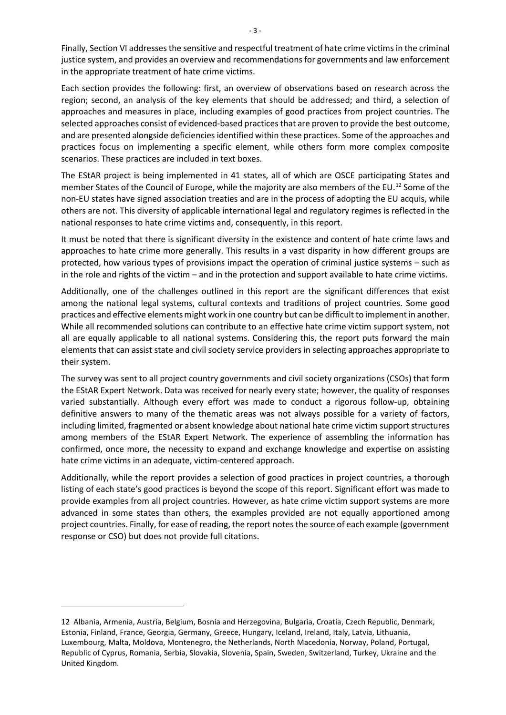Finally, Section VI addresses the sensitive and respectful treatment of hate crime victims in the criminal justice system, and provides an overview and recommendations for governments and law enforcement in the appropriate treatment of hate crime victims.

Each section provides the following: first, an overview of observations based on research across the region; second, an analysis of the key elements that should be addressed; and third, a selection of approaches and measures in place, including examples of good practices from project countries. The selected approaches consist of evidenced-based practices that are proven to provide the best outcome, and are presented alongside deficiencies identified within these practices. Some of the approaches and practices focus on implementing a specific element, while others form more complex composite scenarios. These practices are included in text boxes.

The EStAR project is being implemented in 41 states, all of which are OSCE participating States and member States of the Council of Europe, while the majority are also members of the EU.<sup>[12](#page-6-0)</sup> Some of the non-EU states have signed association treaties and are in the process of adopting the EU acquis, while others are not. This diversity of applicable international legal and regulatory regimes is reflected in the national responses to hate crime victims and, consequently, in this report.

It must be noted that there is significant diversity in the existence and content of hate crime laws and approaches to hate crime more generally. This results in a vast disparity in how different groups are protected, how various types of provisions impact the operation of criminal justice systems – such as in the role and rights of the victim – and in the protection and support available to hate crime victims.

Additionally, one of the challenges outlined in this report are the significant differences that exist among the national legal systems, cultural contexts and traditions of project countries. Some good practices and effective elements might work in one country but can be difficult to implement in another. While all recommended solutions can contribute to an effective hate crime victim support system, not all are equally applicable to all national systems. Considering this, the report puts forward the main elements that can assist state and civil society service providers in selecting approaches appropriate to their system.

The survey was sent to all project country governments and civil society organizations (CSOs) that form the EStAR Expert Network. Data was received for nearly every state; however, the quality of responses varied substantially. Although every effort was made to conduct a rigorous follow-up, obtaining definitive answers to many of the thematic areas was not always possible for a variety of factors, including limited, fragmented or absent knowledge about national hate crime victim support structures among members of the EStAR Expert Network. The experience of assembling the information has confirmed, once more, the necessity to expand and exchange knowledge and expertise on assisting hate crime victims in an adequate, victim-centered approach.

Additionally, while the report provides a selection of good practices in project countries, a thorough listing of each state's good practices is beyond the scope of this report. Significant effort was made to provide examples from all project countries. However, as hate crime victim support systems are more advanced in some states than others, the examples provided are not equally apportioned among project countries. Finally, for ease of reading, the report notes the source of each example (government response or CSO) but does not provide full citations.

<span id="page-6-0"></span><sup>12</sup> Albania, Armenia, Austria, Belgium, Bosnia and Herzegovina, Bulgaria, Croatia, Czech Republic, Denmark, Estonia, Finland, France, Georgia, Germany, Greece, Hungary, Iceland, Ireland, Italy, Latvia, Lithuania, Luxembourg, Malta, Moldova, Montenegro, the Netherlands, North Macedonia, Norway, Poland, Portugal, Republic of Cyprus, Romania, Serbia, Slovakia, Slovenia, Spain, Sweden, Switzerland, Turkey, Ukraine and the United Kingdom.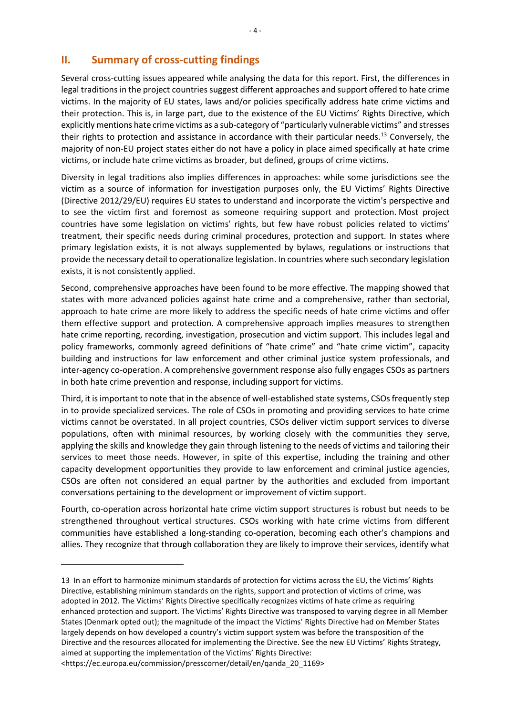# <span id="page-7-0"></span>**II. Summary of cross-cutting findings**

Several cross-cutting issues appeared while analysing the data for this report. First, the differences in legal traditions in the project countries suggest different approaches and support offered to hate crime victims. In the majority of EU states, laws and/or policies specifically address hate crime victims and their protection. This is, in large part, due to the existence of the EU Victims' Rights Directive, which explicitly mentions hate crime victims as a sub-category of "particularly vulnerable victims" and stresses their rights to protection and assistance in accordance with their particular needs.<sup>[13](#page-7-1)</sup> Conversely, the majority of non-EU project states either do not have a policy in place aimed specifically at hate crime victims, or include hate crime victims as broader, but defined, groups of crime victims.

Diversity in legal traditions also implies differences in approaches: while some jurisdictions see the victim as a source of information for investigation purposes only, the EU Victims' Rights Directive (Directive 2012/29/EU) requires EU states to understand and incorporate the victim's perspective and to see the victim first and foremost as someone requiring support and protection. Most project countries have some legislation on victims' rights, but few have robust policies related to victims' treatment, their specific needs during criminal procedures, protection and support. In states where primary legislation exists, it is not always supplemented by bylaws, regulations or instructions that provide the necessary detail to operationalize legislation. In countries where such secondary legislation exists, it is not consistently applied.

Second, comprehensive approaches have been found to be more effective. The mapping showed that states with more advanced policies against hate crime and a comprehensive, rather than sectorial, approach to hate crime are more likely to address the specific needs of hate crime victims and offer them effective support and protection. A comprehensive approach implies measures to strengthen hate crime reporting, recording, investigation, prosecution and victim support. This includes legal and policy frameworks, commonly agreed definitions of "hate crime" and "hate crime victim", capacity building and instructions for law enforcement and other criminal justice system professionals, and inter-agency co-operation. A comprehensive government response also fully engages CSOs as partners in both hate crime prevention and response, including support for victims.

Third, it is important to note that in the absence of well-established state systems, CSOs frequently step in to provide specialized services. The role of CSOs in promoting and providing services to hate crime victims cannot be overstated. In all project countries, CSOs deliver victim support services to diverse populations, often with minimal resources, by working closely with the communities they serve, applying the skills and knowledge they gain through listening to the needs of victims and tailoring their services to meet those needs. However, in spite of this expertise, including the training and other capacity development opportunities they provide to law enforcement and criminal justice agencies, CSOs are often not considered an equal partner by the authorities and excluded from important conversations pertaining to the development or improvement of victim support.

Fourth, co-operation across horizontal hate crime victim support structures is robust but needs to be strengthened throughout vertical structures. CSOs working with hate crime victims from different communities have established a long-standing co-operation, becoming each other's champions and allies. They recognize that through collaboration they are likely to improve their services, identify what

<span id="page-7-1"></span><sup>13</sup> In an effort to harmonize minimum standards of protection for victims across the EU, the Victims' Rights Directive, establishing minimum standards on the rights, support and protection of victims of crime, was adopted in 2012. The Victims' Rights Directive specifically recognizes victims of hate crime as requiring enhanced protection and support. The Victims' Rights Directive was transposed to varying degree in all Member States (Denmark opted out); the magnitude of the impact the Victims' Rights Directive had on Member States largely depends on how developed a country's victim support system was before the transposition of the Directive and the resources allocated for implementing the Directive. See the new EU Victims' Rights Strategy, aimed at supporting the implementation of the Victims' Rights Directive:

<sup>&</sup>lt;https://ec.europa.eu/commission/presscorner/detail/en/qanda\_20\_1169>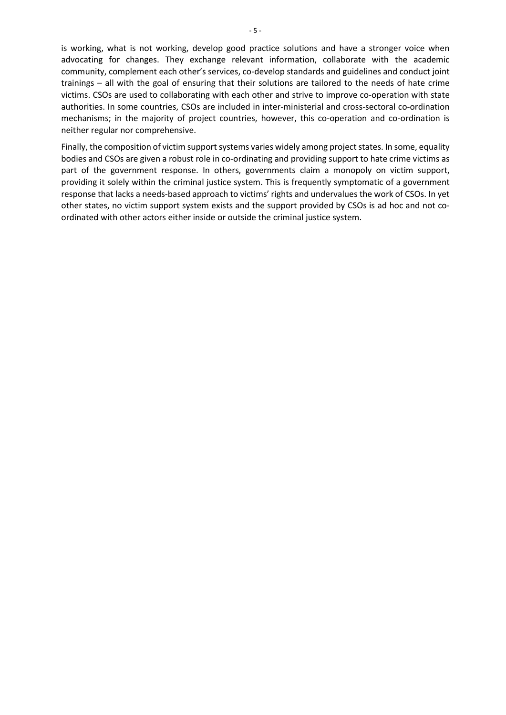is working, what is not working, develop good practice solutions and have a stronger voice when advocating for changes. They exchange relevant information, collaborate with the academic community, complement each other's services, co-develop standards and guidelines and conduct joint trainings – all with the goal of ensuring that their solutions are tailored to the needs of hate crime victims. CSOs are used to collaborating with each other and strive to improve co-operation with state authorities. In some countries, CSOs are included in inter-ministerial and cross-sectoral co-ordination mechanisms; in the majority of project countries, however, this co-operation and co-ordination is neither regular nor comprehensive.

Finally, the composition of victim support systems varies widely among project states. In some, equality bodies and CSOs are given a robust role in co-ordinating and providing support to hate crime victims as part of the government response. In others, governments claim a monopoly on victim support, providing it solely within the criminal justice system. This is frequently symptomatic of a government response that lacks a needs-based approach to victims' rights and undervalues the work of CSOs. In yet other states, no victim support system exists and the support provided by CSOs is ad hoc and not coordinated with other actors either inside or outside the criminal justice system.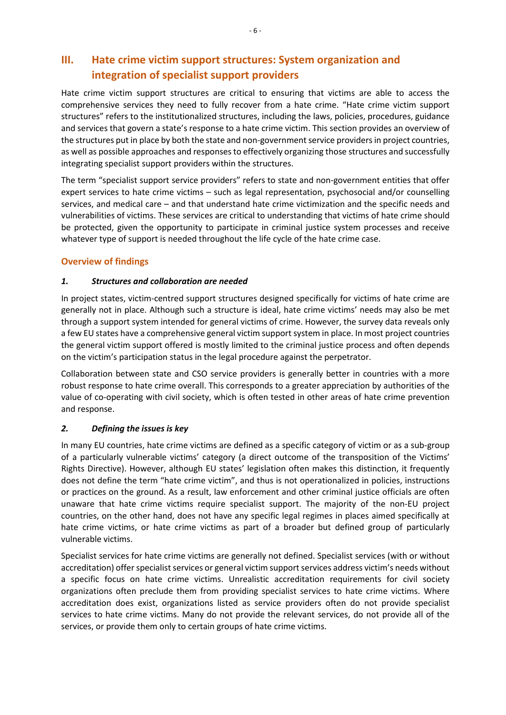# <span id="page-9-0"></span>**III. Hate crime victim support structures: System organization and integration of specialist support providers**

Hate crime victim support structures are critical to ensuring that victims are able to access the comprehensive services they need to fully recover from a hate crime. "Hate crime victim support structures" refers to the institutionalized structures, including the laws, policies, procedures, guidance and services that govern a state's response to a hate crime victim. This section provides an overview of the structures put in place by both the state and non-government service providersin project countries, as well as possible approaches and responsesto effectively organizing those structures and successfully integrating specialist support providers within the structures.

The term "specialist support service providers" refers to state and non-government entities that offer expert services to hate crime victims – such as legal representation, psychosocial and/or counselling services, and medical care – and that understand hate crime victimization and the specific needs and vulnerabilities of victims. These services are critical to understanding that victims of hate crime should be protected, given the opportunity to participate in criminal justice system processes and receive whatever type of support is needed throughout the life cycle of the hate crime case.

# <span id="page-9-1"></span>**Overview of findings**

# *1. Structures and collaboration are needed*

In project states, victim-centred support structures designed specifically for victims of hate crime are generally not in place. Although such a structure is ideal, hate crime victims' needs may also be met through a support system intended for general victims of crime. However, the survey data reveals only a few EU states have a comprehensive general victim support system in place. In most project countries the general victim support offered is mostly limited to the criminal justice process and often depends on the victim's participation status in the legal procedure against the perpetrator.

Collaboration between state and CSO service providers is generally better in countries with a more robust response to hate crime overall. This corresponds to a greater appreciation by authorities of the value of co-operating with civil society, which is often tested in other areas of hate crime prevention and response.

# *2. Defining the issues is key*

In many EU countries, hate crime victims are defined as a specific category of victim or as a sub-group of a particularly vulnerable victims' category (a direct outcome of the transposition of the Victims' Rights Directive). However, although EU states' legislation often makes this distinction, it frequently does not define the term "hate crime victim", and thus is not operationalized in policies, instructions or practices on the ground. As a result, law enforcement and other criminal justice officials are often unaware that hate crime victims require specialist support. The majority of the non-EU project countries, on the other hand, does not have any specific legal regimes in places aimed specifically at hate crime victims, or hate crime victims as part of a broader but defined group of particularly vulnerable victims.

Specialist services for hate crime victims are generally not defined. Specialist services (with or without accreditation) offer specialist services or general victim support services address victim's needs without a specific focus on hate crime victims. Unrealistic accreditation requirements for civil society organizations often preclude them from providing specialist services to hate crime victims. Where accreditation does exist, organizations listed as service providers often do not provide specialist services to hate crime victims. Many do not provide the relevant services, do not provide all of the services, or provide them only to certain groups of hate crime victims.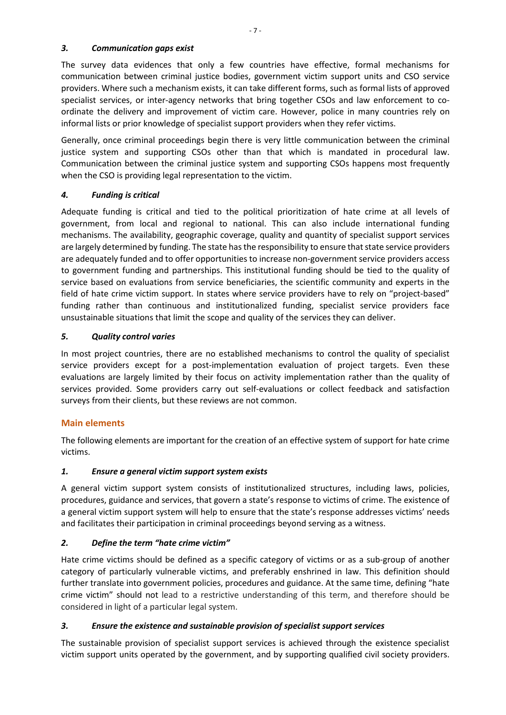#### *3. Communication gaps exist*

The survey data evidences that only a few countries have effective, formal mechanisms for communication between criminal justice bodies, government victim support units and CSO service providers. Where such a mechanism exists, it can take different forms, such as formal lists of approved specialist services, or inter-agency networks that bring together CSOs and law enforcement to coordinate the delivery and improvement of victim care. However, police in many countries rely on informal lists or prior knowledge of specialist support providers when they refer victims.

Generally, once criminal proceedings begin there is very little communication between the criminal justice system and supporting CSOs other than that which is mandated in procedural law. Communication between the criminal justice system and supporting CSOs happens most frequently when the CSO is providing legal representation to the victim.

# *4. Funding is critical*

Adequate funding is critical and tied to the political prioritization of hate crime at all levels of government, from local and regional to national. This can also include international funding mechanisms. The availability, geographic coverage, quality and quantity of specialist support services are largely determined by funding. The state has the responsibility to ensure that state service providers are adequately funded and to offer opportunities to increase non-government service providers access to government funding and partnerships. This institutional funding should be tied to the quality of service based on evaluations from service beneficiaries, the scientific community and experts in the field of hate crime victim support. In states where service providers have to rely on "project-based" funding rather than continuous and institutionalized funding, specialist service providers face unsustainable situations that limit the scope and quality of the services they can deliver.

# *5. Quality control varies*

In most project countries, there are no established mechanisms to control the quality of specialist service providers except for a post-implementation evaluation of project targets. Even these evaluations are largely limited by their focus on activity implementation rather than the quality of services provided. Some providers carry out self-evaluations or collect feedback and satisfaction surveys from their clients, but these reviews are not common.

# <span id="page-10-0"></span>**Main elements**

The following elements are important for the creation of an effective system of support for hate crime victims.

# <span id="page-10-1"></span>*1. Ensure a general victim support system exists*

A general victim support system consists of institutionalized structures, including laws, policies, procedures, guidance and services, that govern a state's response to victims of crime. The existence of a general victim support system will help to ensure that the state's response addresses victims' needs and facilitates their participation in criminal proceedings beyond serving as a witness.

# <span id="page-10-2"></span>*2. Define the term "hate crime victim"*

Hate crime victims should be defined as a specific category of victims or as a sub-group of another category of particularly vulnerable victims, and preferably enshrined in law. This definition should further translate into government policies, procedures and guidance. At the same time, defining "hate crime victim" should not lead to a restrictive understanding of this term, and therefore should be considered in light of a particular legal system.

# <span id="page-10-3"></span>*3. Ensure the existence and sustainable provision of specialist support services*

The sustainable provision of specialist support services is achieved through the existence specialist victim support units operated by the government, and by supporting qualified civil society providers.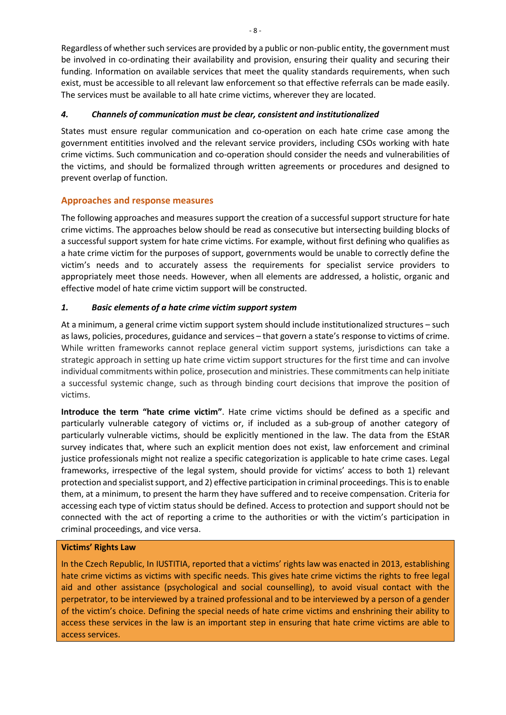Regardless of whether such services are provided by a public or non-public entity, the government must be involved in co-ordinating their availability and provision, ensuring their quality and securing their funding. Information on available services that meet the quality standards requirements, when such exist, must be accessible to all relevant law enforcement so that effective referrals can be made easily. The services must be available to all hate crime victims, wherever they are located.

#### <span id="page-11-0"></span>*4. Channels of communication must be clear, consistent and institutionalized*

States must ensure regular communication and co-operation on each hate crime case among the government entitities involved and the relevant service providers, including CSOs working with hate crime victims. Such communication and co-operation should consider the needs and vulnerabilities of the victims, and should be formalized through written agreements or procedures and designed to prevent overlap of function.

# <span id="page-11-1"></span>**Approaches and response measures**

The following approaches and measures support the creation of a successful support structure for hate crime victims. The approaches below should be read as consecutive but intersecting building blocks of a successful support system for hate crime victims. For example, without first defining who qualifies as a hate crime victim for the purposes of support, governments would be unable to correctly define the victim's needs and to accurately assess the requirements for specialist service providers to appropriately meet those needs. However, when all elements are addressed, a holistic, organic and effective model of hate crime victim support will be constructed.

# <span id="page-11-2"></span>*1. Basic elements of a hate crime victim support system*

At a minimum, a general crime victim support system should include institutionalized structures – such as laws, policies, procedures, guidance and services – that govern a state's response to victims of crime. While written frameworks cannot replace general victim support systems, jurisdictions can take a strategic approach in setting up hate crime victim support structures for the first time and can involve individual commitments within police, prosecution and ministries. These commitments can help initiate a successful systemic change, such as through binding court decisions that improve the position of victims.

**Introduce the term "hate crime victim"**. Hate crime victims should be defined as a specific and particularly vulnerable category of victims or, if included as a sub-group of another category of particularly vulnerable victims, should be explicitly mentioned in the law. The data from the EStAR survey indicates that, where such an explicit mention does not exist, law enforcement and criminal justice professionals might not realize a specific categorization is applicable to hate crime cases. Legal frameworks, irrespective of the legal system, should provide for victims' access to both 1) relevant protection and specialist support, and 2) effective participation in criminal proceedings. This isto enable them, at a minimum, to present the harm they have suffered and to receive compensation. Criteria for accessing each type of victim status should be defined. Access to protection and support should not be connected with the act of reporting a crime to the authorities or with the victim's participation in criminal proceedings, and vice versa.

# **Victims' Rights Law**

In the Czech Republic, In IUSTITIA, reported that a victims' rights law was enacted in 2013, establishing hate crime victims as victims with specific needs. This gives hate crime victims the rights to free legal aid and other assistance (psychological and social counselling), to avoid visual contact with the perpetrator, to be interviewed by a trained professional and to be interviewed by a person of a gender of the victim's choice. Defining the special needs of hate crime victims and enshrining their ability to access these services in the law is an important step in ensuring that hate crime victims are able to access services.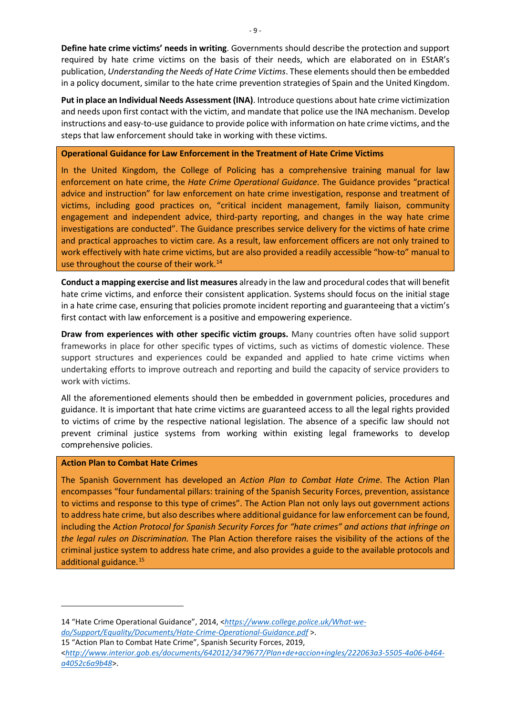**Define hate crime victims' needs in writing**. Governments should describe the protection and support required by hate crime victims on the basis of their needs, which are elaborated on in EStAR's publication, *Understanding the Needs of Hate Crime Victims*. These elements should then be embedded in a policy document, similar to the hate crime prevention strategies of Spain and the United Kingdom.

**Put in place an Individual Needs Assessment (INA)**. Introduce questions about hate crime victimization and needs upon first contact with the victim, and mandate that police use the INA mechanism. Develop instructions and easy-to-use guidance to provide police with information on hate crime victims, and the steps that law enforcement should take in working with these victims.

#### **Operational Guidance for Law Enforcement in the Treatment of Hate Crime Victims**

In the United Kingdom, the College of Policing has a comprehensive training manual for law enforcement on hate crime, the *Hate Crime Operational Guidance*. The Guidance provides "practical advice and instruction" for law enforcement on hate crime investigation, response and treatment of victims, including good practices on, "critical incident management, family liaison, community engagement and independent advice, third-party reporting, and changes in the way hate crime investigations are conducted". The Guidance prescribes service delivery for the victims of hate crime and practical approaches to victim care. As a result, law enforcement officers are not only trained to work effectively with hate crime victims, but are also provided a readily accessible "how-to" manual to use throughout the course of their work.<sup>[14](#page-12-0)</sup>

**Conduct a mapping exercise and list measures** already in the law and procedural codes that will benefit hate crime victims, and enforce their consistent application. Systems should focus on the initial stage in a hate crime case, ensuring that policies promote incident reporting and guaranteeing that a victim's first contact with law enforcement is a positive and empowering experience.

**Draw from experiences with other specific victim groups.** Many countries often have solid support frameworks in place for other specific types of victims, such as victims of domestic violence. These support structures and experiences could be expanded and applied to hate crime victims when undertaking efforts to improve outreach and reporting and build the capacity of service providers to work with victims.

All the aforementioned elements should then be embedded in government policies, procedures and guidance. It is important that hate crime victims are guaranteed access to all the legal rights provided to victims of crime by the respective national legislation. The absence of a specific law should not prevent criminal justice systems from working within existing legal frameworks to develop comprehensive policies.

#### **Action Plan to Combat Hate Crimes**

The Spanish Government has developed an *Action Plan to Combat Hate Crime*. The Action Plan encompasses "four fundamental pillars: training of the Spanish Security Forces, prevention, assistance to victims and response to this type of crimes". The Action Plan not only lays out government actions to address hate crime, but also describes where additional guidance for law enforcement can be found, including the *Action Protocol for Spanish Security Forces for "hate crimes" and actions that infringe on the legal rules on Discrimination.* The Plan Action therefore raises the visibility of the actions of the criminal justice system to address hate crime, and also provides a guide to the available protocols and additional guidance.[15](#page-12-1)

<span id="page-12-1"></span>15 "Action Plan to Combat Hate Crime", Spanish Security Forces, 2019,

<span id="page-12-0"></span><sup>14</sup> "Hate Crime Operational Guidance", 2014, <*[https://www.college.police.uk/What-we](https://www.college.police.uk/What-we-do/Support/Equality/Documents/Hate-Crime-Operational-Guidance.pdf)[do/Support/Equality/Documents/Hate-Crime-Operational-Guidance.pdf](https://www.college.police.uk/What-we-do/Support/Equality/Documents/Hate-Crime-Operational-Guidance.pdf)* >.

<sup>&</sup>lt;*[http://www.interior.gob.es/documents/642012/3479677/Plan+de+accion+ingles/222063a3-5505-4a06-b464](http://www.interior.gob.es/documents/642012/3479677/Plan+de+accion+ingles/222063a3-5505-4a06-b464-a4052c6a9b48) [a4052c6a9b48](http://www.interior.gob.es/documents/642012/3479677/Plan+de+accion+ingles/222063a3-5505-4a06-b464-a4052c6a9b48)*>.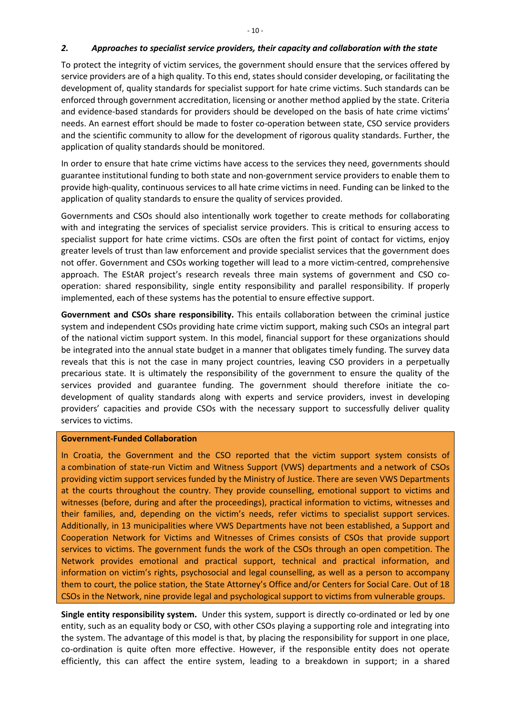#### <span id="page-13-0"></span>*2. Approaches to specialist service providers, their capacity and collaboration with the state*

To protect the integrity of victim services, the government should ensure that the services offered by service providers are of a high quality. To this end, states should consider developing, or facilitating the development of, quality standards for specialist support for hate crime victims. Such standards can be enforced through government accreditation, licensing or another method applied by the state. Criteria and evidence-based standards for providers should be developed on the basis of hate crime victims' needs. An earnest effort should be made to foster co-operation between state, CSO service providers and the scientific community to allow for the development of rigorous quality standards. Further, the application of quality standards should be monitored.

In order to ensure that hate crime victims have access to the services they need, governments should guarantee institutional funding to both state and non-government service providers to enable them to provide high-quality, continuous services to all hate crime victims in need. Funding can be linked to the application of quality standards to ensure the quality of services provided.

Governments and CSOs should also intentionally work together to create methods for collaborating with and integrating the services of specialist service providers. This is critical to ensuring access to specialist support for hate crime victims. CSOs are often the first point of contact for victims, enjoy greater levels of trust than law enforcement and provide specialist services that the government does not offer. Government and CSOs working together will lead to a more victim-centred, comprehensive approach. The EStAR project's research reveals three main systems of government and CSO cooperation: shared responsibility, single entity responsibility and parallel responsibility. If properly implemented, each of these systems has the potential to ensure effective support.

**Government and CSOs share responsibility.** This entails collaboration between the criminal justice system and independent CSOs providing hate crime victim support, making such CSOs an integral part of the national victim support system. In this model, financial support for these organizations should be integrated into the annual state budget in a manner that obligates timely funding. The survey data reveals that this is not the case in many project countries, leaving CSO providers in a perpetually precarious state. It is ultimately the responsibility of the government to ensure the quality of the services provided and guarantee funding. The government should therefore initiate the codevelopment of quality standards along with experts and service providers, invest in developing providers' capacities and provide CSOs with the necessary support to successfully deliver quality services to victims.

#### **Government-Funded Collaboration**

In Croatia, the Government and the CSO reported that the victim support system consists of a combination of state-run Victim and Witness Support (VWS) departments and a network of CSOs providing victim support services funded by the Ministry of Justice. There are seven VWS Departments at the courts throughout the country. They provide counselling, emotional support to victims and witnesses (before, during and after the proceedings), practical information to victims, witnesses and their families, and, depending on the victim's needs, refer victims to specialist support services. Additionally, in 13 municipalities where VWS Departments have not been established, a Support and Cooperation Network for Victims and Witnesses of Crimes consists of CSOs that provide support services to victims. The government funds the work of the CSOs through an open competition. The Network provides emotional and practical support, technical and practical information, and information on victim's rights, psychosocial and legal counselling, as well as a person to accompany them to court, the police station, the State Attorney's Office and/or Centers for Social Care. Out of 18 CSOs in the Network, nine provide legal and psychological support to victims from vulnerable groups.

**Single entity responsibility system.** Under this system, support is directly co-ordinated or led by one entity, such as an equality body or CSO, with other CSOs playing a supporting role and integrating into the system. The advantage of this model is that, by placing the responsibility for support in one place, co-ordination is quite often more effective. However, if the responsible entity does not operate efficiently, this can affect the entire system, leading to a breakdown in support; in a shared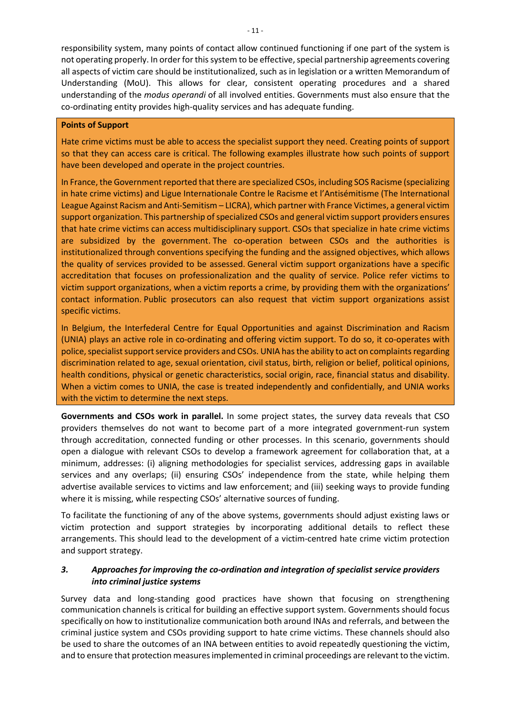responsibility system, many points of contact allow continued functioning if one part of the system is not operating properly. In order for this system to be effective, special partnership agreements covering all aspects of victim care should be institutionalized, such as in legislation or a written Memorandum of Understanding (MoU). This allows for clear, consistent operating procedures and a shared understanding of the *modus operandi* of all involved entities. Governments must also ensure that the co-ordinating entity provides high-quality services and has adequate funding.

#### **Points of Support**

Hate crime victims must be able to access the specialist support they need. Creating points of support so that they can access care is critical. The following examples illustrate how such points of support have been developed and operate in the project countries.

In France, the Government reported that there are specialized CSOs, including SOS Racisme (specializing in hate crime victims) and Ligue Internationale Contre le Racisme et l'Antisémitisme (The International League Against Racism and Anti-Semitism – LICRA), which partner with France Victimes, a general victim support organization. This partnership of specialized CSOs and general victim support providers ensures that hate crime victims can access multidisciplinary support. CSOs that specialize in hate crime victims are subsidized by the government. The co-operation between CSOs and the authorities is institutionalized through conventions specifying the funding and the assigned objectives, which allows the quality of services provided to be assessed. General victim support organizations have a specific accreditation that focuses on professionalization and the quality of service. Police refer victims to victim support organizations, when a victim reports a crime, by providing them with the organizations' contact information. Public prosecutors can also request that victim support organizations assist specific victims.

In Belgium, the Interfederal Centre for Equal Opportunities and against Discrimination and Racism (UNIA) plays an active role in co-ordinating and offering victim support. To do so, it co-operates with police, specialist support service providers and CSOs. UNIA has the ability to act on complaints regarding discrimination related to age, sexual orientation, civil status, birth, religion or belief, political opinions, health conditions, physical or genetic characteristics, social origin, race, financial status and disability. When a victim comes to UNIA, the case is treated independently and confidentially, and UNIA works with the victim to determine the next steps.

**Governments and CSOs work in parallel.** In some project states, the survey data reveals that CSO providers themselves do not want to become part of a more integrated government-run system through accreditation, connected funding or other processes. In this scenario, governments should open a dialogue with relevant CSOs to develop a framework agreement for collaboration that, at a minimum, addresses: (i) aligning methodologies for specialist services, addressing gaps in available services and any overlaps; (ii) ensuring CSOs' independence from the state, while helping them advertise available services to victims and law enforcement; and (iii) seeking ways to provide funding where it is missing, while respecting CSOs' alternative sources of funding.

To facilitate the functioning of any of the above systems, governments should adjust existing laws or victim protection and support strategies by incorporating additional details to reflect these arrangements. This should lead to the development of a victim-centred hate crime victim protection and support strategy.

#### <span id="page-14-0"></span>*3. Approaches for improving the co-ordination and integration of specialist service providers into criminal justice systems*

Survey data and long-standing good practices have shown that focusing on strengthening communication channels is critical for building an effective support system. Governments should focus specifically on how to institutionalize communication both around INAs and referrals, and between the criminal justice system and CSOs providing support to hate crime victims. These channels should also be used to share the outcomes of an INA between entities to avoid repeatedly questioning the victim, and to ensure that protection measures implemented in criminal proceedings are relevant to the victim.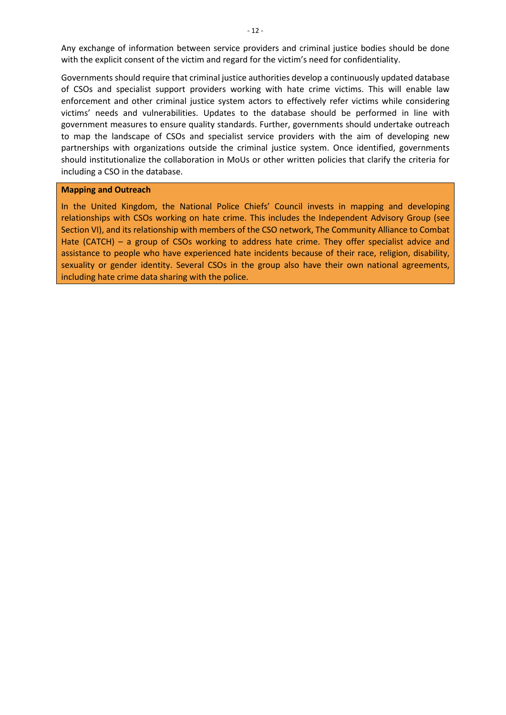Any exchange of information between service providers and criminal justice bodies should be done with the explicit consent of the victim and regard for the victim's need for confidentiality.

Governments should require that criminal justice authorities develop a continuously updated database of CSOs and specialist support providers working with hate crime victims. This will enable law enforcement and other criminal justice system actors to effectively refer victims while considering victims' needs and vulnerabilities. Updates to the database should be performed in line with government measures to ensure quality standards. Further, governments should undertake outreach to map the landscape of CSOs and specialist service providers with the aim of developing new partnerships with organizations outside the criminal justice system. Once identified, governments should institutionalize the collaboration in MoUs or other written policies that clarify the criteria for including a CSO in the database.

#### **Mapping and Outreach**

In the United Kingdom, the National Police Chiefs' Council invests in mapping and developing relationships with CSOs working on hate crime. This includes the Independent Advisory Group (see Section VI), and its relationship with members of the CSO network, The Community Alliance to Combat Hate (CATCH) – a group of CSOs working to address hate crime. They offer specialist advice and assistance to people who have experienced hate incidents because of their race, religion, disability, sexuality or gender identity. Several CSOs in the group also have their own national agreements, including hate crime data sharing with the police.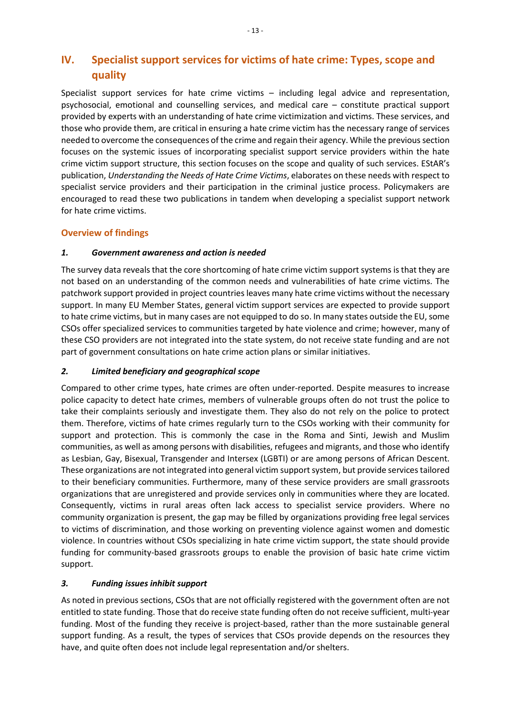# <span id="page-16-0"></span>**IV. Specialist support services for victims of hate crime: Types, scope and quality**

Specialist support services for hate crime victims – including legal advice and representation, psychosocial, emotional and counselling services, and medical care – constitute practical support provided by experts with an understanding of hate crime victimization and victims. These services, and those who provide them, are critical in ensuring a hate crime victim has the necessary range of services needed to overcome the consequences of the crime and regain their agency. While the previous section focuses on the systemic issues of incorporating specialist support service providers within the hate crime victim support structure, this section focuses on the scope and quality of such services. EStAR's publication, *Understanding the Needs of Hate Crime Victims*, elaborates on these needs with respect to specialist service providers and their participation in the criminal justice process. Policymakers are encouraged to read these two publications in tandem when developing a specialist support network for hate crime victims.

# <span id="page-16-1"></span>**Overview of findings**

# *1. Government awareness and action is needed*

The survey data reveals that the core shortcoming of hate crime victim support systems is that they are not based on an understanding of the common needs and vulnerabilities of hate crime victims. The patchwork support provided in project countries leaves many hate crime victims without the necessary support. In many EU Member States, general victim support services are expected to provide support to hate crime victims, but in many cases are not equipped to do so. In many states outside the EU, some CSOs offer specialized services to communities targeted by hate violence and crime; however, many of these CSO providers are not integrated into the state system, do not receive state funding and are not part of government consultations on hate crime action plans or similar initiatives.

# *2. Limited beneficiary and geographical scope*

Compared to other crime types, hate crimes are often under-reported. Despite measures to increase police capacity to detect hate crimes, members of vulnerable groups often do not trust the police to take their complaints seriously and investigate them. They also do not rely on the police to protect them. Therefore, victims of hate crimes regularly turn to the CSOs working with their community for support and protection. This is commonly the case in the Roma and Sinti, Jewish and Muslim communities, as well as among persons with disabilities, refugees and migrants, and those who identify as Lesbian, Gay, Bisexual, Transgender and Intersex (LGBTI) or are among persons of African Descent. These organizations are not integrated into general victim support system, but provide services tailored to their beneficiary communities. Furthermore, many of these service providers are small grassroots organizations that are unregistered and provide services only in communities where they are located. Consequently, victims in rural areas often lack access to specialist service providers. Where no community organization is present, the gap may be filled by organizations providing free legal services to victims of discrimination, and those working on preventing violence against women and domestic violence. In countries without CSOs specializing in hate crime victim support, the state should provide funding for community-based grassroots groups to enable the provision of basic hate crime victim support.

# *3. Funding issues inhibit support*

As noted in previous sections, CSOs that are not officially registered with the government often are not entitled to state funding. Those that do receive state funding often do not receive sufficient, multi-year funding. Most of the funding they receive is project-based, rather than the more sustainable general support funding. As a result, the types of services that CSOs provide depends on the resources they have, and quite often does not include legal representation and/or shelters.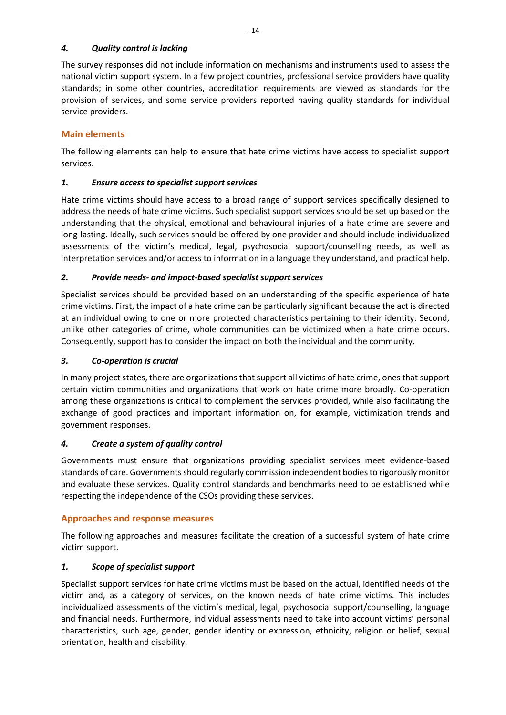#### *4. Quality control is lacking*

The survey responses did not include information on mechanisms and instruments used to assess the national victim support system. In a few project countries, professional service providers have quality standards; in some other countries, accreditation requirements are viewed as standards for the provision of services, and some service providers reported having quality standards for individual service providers.

# <span id="page-17-0"></span>**Main elements**

The following elements can help to ensure that hate crime victims have access to specialist support services.

# <span id="page-17-1"></span>*1. Ensure access to specialist support services*

Hate crime victims should have access to a broad range of support services specifically designed to address the needs of hate crime victims. Such specialist support services should be set up based on the understanding that the physical, emotional and behavioural injuries of a hate crime are severe and long-lasting. Ideally, such services should be offered by one provider and should include individualized assessments of the victim's medical, legal, psychosocial support/counselling needs, as well as interpretation services and/or access to information in a language they understand, and practical help.

# <span id="page-17-2"></span>*2. Provide needs- and impact-based specialist support services*

Specialist services should be provided based on an understanding of the specific experience of hate crime victims. First, the impact of a hate crime can be particularly significant because the act is directed at an individual owing to one or more protected characteristics pertaining to their identity. Second, unlike other categories of crime, whole communities can be victimized when a hate crime occurs. Consequently, support has to consider the impact on both the individual and the community.

# <span id="page-17-3"></span>*3. Co-operation is crucial*

In many project states, there are organizations that support all victims of hate crime, ones that support certain victim communities and organizations that work on hate crime more broadly. Co-operation among these organizations is critical to complement the services provided, while also facilitating the exchange of good practices and important information on, for example, victimization trends and government responses.

# <span id="page-17-4"></span>*4. Create a system of quality control*

Governments must ensure that organizations providing specialist services meet evidence-based standards of care. Governments should regularly commission independent bodies to rigorously monitor and evaluate these services. Quality control standards and benchmarks need to be established while respecting the independence of the CSOs providing these services.

# <span id="page-17-5"></span>**Approaches and response measures**

The following approaches and measures facilitate the creation of a successful system of hate crime victim support.

# <span id="page-17-6"></span>*1. Scope of specialist support*

Specialist support services for hate crime victims must be based on the actual, identified needs of the victim and, as a category of services, on the known needs of hate crime victims. This includes individualized assessments of the victim's medical, legal, psychosocial support/counselling, language and financial needs. Furthermore, individual assessments need to take into account victims' personal characteristics, such age, gender, gender identity or expression, ethnicity, religion or belief, sexual orientation, health and disability.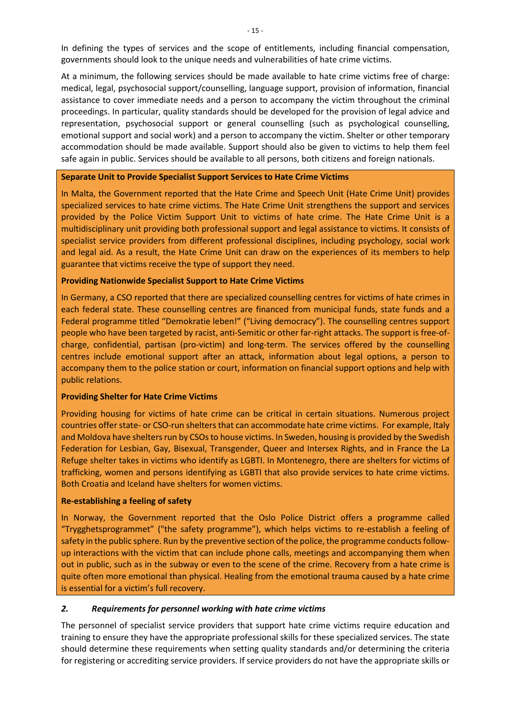In defining the types of services and the scope of entitlements, including financial compensation, governments should look to the unique needs and vulnerabilities of hate crime victims.

At a minimum, the following services should be made available to hate crime victims free of charge: medical, legal, psychosocial support/counselling, language support, provision of information, financial assistance to cover immediate needs and a person to accompany the victim throughout the criminal proceedings. In particular, quality standards should be developed for the provision of legal advice and representation, psychosocial support or general counselling (such as psychological counselling, emotional support and social work) and a person to accompany the victim. Shelter or other temporary accommodation should be made available. Support should also be given to victims to help them feel safe again in public. Services should be available to all persons, both citizens and foreign nationals.

#### **Separate Unit to Provide Specialist Support Services to Hate Crime Victims**

In Malta, the Government reported that the Hate Crime and Speech Unit (Hate Crime Unit) provides specialized services to hate crime victims. The Hate Crime Unit strengthens the support and services provided by the Police Victim Support Unit to victims of hate crime. The Hate Crime Unit is a multidisciplinary unit providing both professional support and legal assistance to victims. It consists of specialist service providers from different professional disciplines, including psychology, social work and legal aid. As a result, the Hate Crime Unit can draw on the experiences of its members to help guarantee that victims receive the type of support they need.

#### **Providing Nationwide Specialist Support to Hate Crime Victims**

In Germany, a CSO reported that there are specialized counselling centres for victims of hate crimes in each federal state. These counselling centres are financed from municipal funds, state funds and a Federal programme titled "Demokratie leben!" ("Living democracy"). The counselling centres support people who have been targeted by racist, anti-Semitic or other far-right attacks. The support is free-ofcharge, confidential, partisan (pro-victim) and long-term. The services offered by the counselling centres include emotional support after an attack, information about legal options, a person to accompany them to the police station or court, information on financial support options and help with public relations.

#### **Providing Shelter for Hate Crime Victims**

Providing housing for victims of hate crime can be critical in certain situations. Numerous project countries offer state- or CSO-run shelters that can accommodate hate crime victims. For example, Italy and Moldova have shelters run by CSOs to house victims. In Sweden, housing is provided by the Swedish Federation for Lesbian, Gay, Bisexual, Transgender, Queer and Intersex Rights, and in France the La Refuge shelter takes in victims who identify as LGBTI. In Montenegro, there are shelters for victims of trafficking, women and persons identifying as LGBTI that also provide services to hate crime victims. Both Croatia and Iceland have shelters for women victims.

#### **Re-establishing a feeling of safety**

In Norway, the Government reported that the Oslo Police District offers a programme called "Trygghetsprogrammet" ("the safety programme"), which helps victims to re-establish a feeling of safety in the public sphere. Run by the preventive section of the police, the programme conducts followup interactions with the victim that can include phone calls, meetings and accompanying them when out in public, such as in the subway or even to the scene of the crime. Recovery from a hate crime is quite often more emotional than physical. Healing from the emotional trauma caused by a hate crime is essential for a victim's full recovery.

#### <span id="page-18-0"></span>*2. Requirements for personnel working with hate crime victims*

The personnel of specialist service providers that support hate crime victims require education and training to ensure they have the appropriate professional skills for these specialized services. The state should determine these requirements when setting quality standards and/or determining the criteria for registering or accrediting service providers. If service providers do not have the appropriate skills or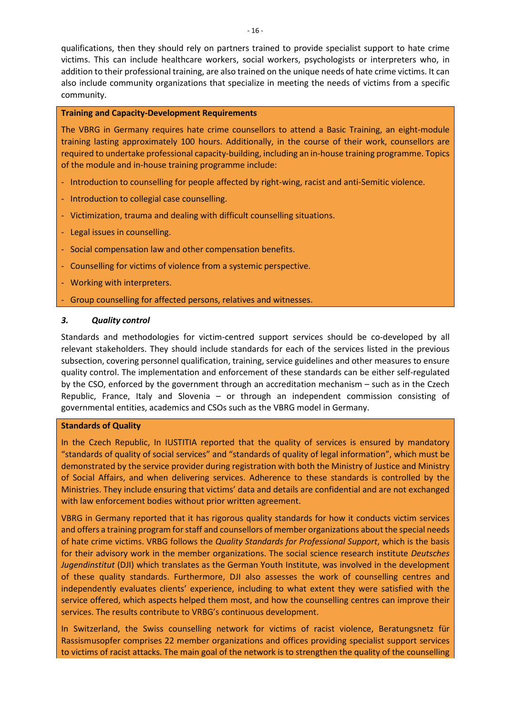qualifications, then they should rely on partners trained to provide specialist support to hate crime victims. This can include healthcare workers, social workers, psychologists or interpreters who, in addition to their professional training, are also trained on the unique needs of hate crime victims. It can also include community organizations that specialize in meeting the needs of victims from a specific community.

#### **Training and Capacity-Development Requirements**

The VBRG in Germany requires hate crime counsellors to attend a Basic Training, an eight-module training lasting approximately 100 hours. Additionally, in the course of their work, counsellors are required to undertake professional capacity-building, including an in-house training programme. Topics of the module and in-house training programme include:

- Introduction to counselling for people affected by right-wing, racist and anti-Semitic violence.
- Introduction to collegial case counselling.
- Victimization, trauma and dealing with difficult counselling situations.
- Legal issues in counselling.
- Social compensation law and other compensation benefits.
- Counselling for victims of violence from a systemic perspective.
- Working with interpreters.
- Group counselling for affected persons, relatives and witnesses.

#### <span id="page-19-0"></span>*3. Quality control*

Standards and methodologies for victim-centred support services should be co-developed by all relevant stakeholders. They should include standards for each of the services listed in the previous subsection, covering personnel qualification, training, service guidelines and other measures to ensure quality control. The implementation and enforcement of these standards can be either self-regulated by the CSO, enforced by the government through an accreditation mechanism – such as in the Czech Republic, France, Italy and Slovenia – or through an independent commission consisting of governmental entities, academics and CSOs such as the VBRG model in Germany.

#### **Standards of Quality**

In the Czech Republic, In IUSTITIA reported that the quality of services is ensured by mandatory "standards of quality of social services" and "standards of quality of legal information", which must be demonstrated by the service provider during registration with both the Ministry of Justice and Ministry of Social Affairs, and when delivering services. Adherence to these standards is controlled by the Ministries. They include ensuring that victims' data and details are confidential and are not exchanged with law enforcement bodies without prior written agreement.

VBRG in Germany reported that it has rigorous quality standards for how it conducts victim services and offers a training program for staff and counsellors of member organizations about the special needs of hate crime victims. VRBG follows the *Quality Standards for Professional Support*, which is the basis for their advisory work in the member organizations. The social science research institute *Deutsches Jugendinstitut* (DJI) which translates as the German Youth Institute, was involved in the development of these quality standards. Furthermore, DJI also assesses the work of counselling centres and independently evaluates clients' experience, including to what extent they were satisfied with the service offered, which aspects helped them most, and how the counselling centres can improve their services. The results contribute to VRBG's continuous development.

In Switzerland, the Swiss counselling network for victims of racist violence, Beratungsnetz für Rassismusopfer comprises 22 member organizations and offices providing specialist support services to victims of racist attacks. The main goal of the network is to strengthen the quality of the counselling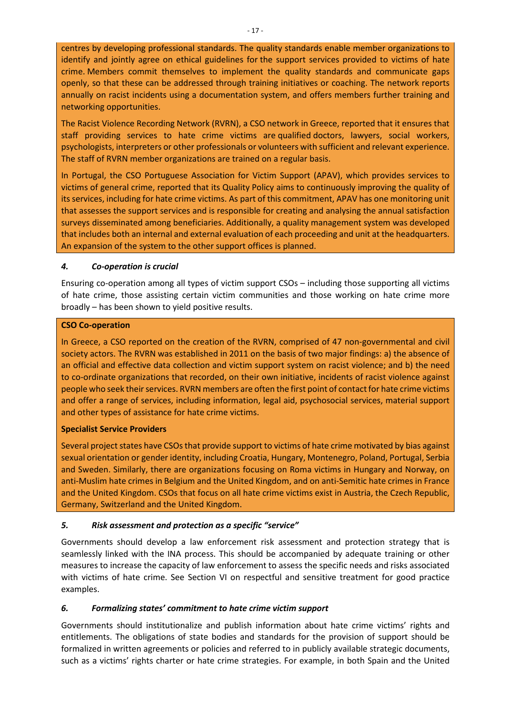centres by developing professional standards. The quality standards enable member organizations to identify and jointly agree on ethical guidelines for the support services provided to victims of hate crime. Members commit themselves to implement the quality standards and communicate gaps openly, so that these can be addressed through training initiatives or coaching. The network reports annually on racist incidents using a documentation system, and offers members further training and networking opportunities.

The Racist Violence Recording Network (RVRN), a CSO network in Greece, reported that it ensures that staff providing services to hate crime victims are qualified doctors, lawyers, social workers, psychologists, interpreters or other professionals or volunteers with sufficient and relevant experience. The staff of RVRN member organizations are trained on a regular basis.

In Portugal, the CSO Portuguese Association for Victim Support (APAV), which provides services to victims of general crime, reported that its Quality Policy aims to continuously improving the quality of its services, including for hate crime victims. As part of this commitment, APAV has one monitoring unit that assesses the support services and is responsible for creating and analysing the annual satisfaction surveys disseminated among beneficiaries. Additionally, a quality management system was developed that includes both an internal and external evaluation of each proceeding and unit at the headquarters. An expansion of the system to the other support offices is planned.

#### <span id="page-20-0"></span>*4. Co-operation is crucial*

Ensuring co-operation among all types of victim support CSOs – including those supporting all victims of hate crime, those assisting certain victim communities and those working on hate crime more broadly – has been shown to yield positive results.

#### **CSO Co-operation**

In Greece, a CSO reported on the creation of the RVRN, comprised of 47 non-governmental and civil society actors. The RVRN was established in 2011 on the basis of two major findings: a) the absence of an official and effective data collection and victim support system on racist violence; and b) the need to co-ordinate organizations that recorded, on their own initiative, incidents of racist violence against people who seek their services. RVRN members are often the first point of contact for hate crime victims and offer a range of services, including information, legal aid, psychosocial services, material support and other types of assistance for hate crime victims.

#### **Specialist Service Providers**

Several project states have CSOs that provide support to victims of hate crime motivated by bias against sexual orientation or gender identity, including Croatia, Hungary, Montenegro, Poland, Portugal, Serbia and Sweden. Similarly, there are organizations focusing on Roma victims in Hungary and Norway, on anti-Muslim hate crimes in Belgium and the United Kingdom, and on anti-Semitic hate crimes in France and the United Kingdom. CSOs that focus on all hate crime victims exist in Austria, the Czech Republic, Germany, Switzerland and the United Kingdom.

# <span id="page-20-1"></span>*5. Risk assessment and protection as a specific "service"*

Governments should develop a law enforcement risk assessment and protection strategy that is seamlessly linked with the INA process. This should be accompanied by adequate training or other measures to increase the capacity of law enforcement to assess the specific needs and risks associated with victims of hate crime. See Section VI on respectful and sensitive treatment for good practice examples.

# <span id="page-20-2"></span>*6. Formalizing states' commitment to hate crime victim support*

Governments should institutionalize and publish information about hate crime victims' rights and entitlements. The obligations of state bodies and standards for the provision of support should be formalized in written agreements or policies and referred to in publicly available strategic documents, such as a victims' rights charter or hate crime strategies. For example, in both Spain and the United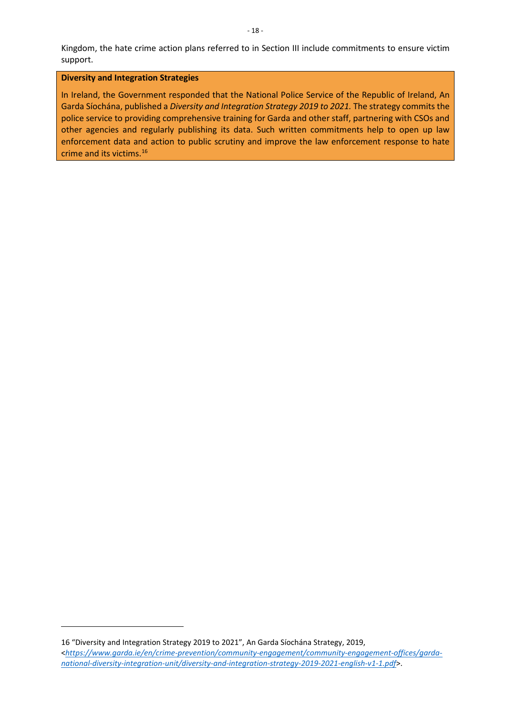Kingdom, the hate crime action plans referred to in Section III include commitments to ensure victim support.

#### **Diversity and Integration Strategies**

In Ireland, the Government responded that the National Police Service of the Republic of Ireland, An Garda Síochána, published a *Diversity and Integration Strategy 2019 to 2021.* The strategy commits the police service to providing comprehensive training for Garda and other staff, partnering with CSOs and other agencies and regularly publishing its data. Such written commitments help to open up law enforcement data and action to public scrutiny and improve the law enforcement response to hate crime and its victims.[16](#page-21-0)

<span id="page-21-0"></span><sup>16</sup> "Diversity and Integration Strategy 2019 to 2021", An Garda Síochána Strategy, 2019, <*[https://www.garda.ie/en/crime-prevention/community-engagement/community-engagement-offices/garda](https://www.garda.ie/en/crime-prevention/community-engagement/community-engagement-offices/garda-national-diversity-integration-unit/diversity-and-integration-strategy-2019-2021-english-v1-1.pdf)[national-diversity-integration-unit/diversity-and-integration-strategy-2019-2021-english-v1-1.pdf](https://www.garda.ie/en/crime-prevention/community-engagement/community-engagement-offices/garda-national-diversity-integration-unit/diversity-and-integration-strategy-2019-2021-english-v1-1.pdf)*>.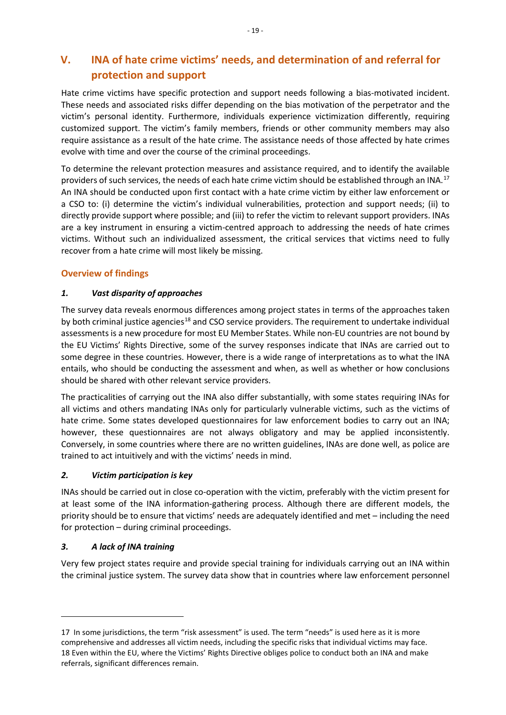# <span id="page-22-0"></span>**V. INA of hate crime victims' needs, and determination of and referral for protection and support**

Hate crime victims have specific protection and support needs following a bias-motivated incident. These needs and associated risks differ depending on the bias motivation of the perpetrator and the victim's personal identity. Furthermore, individuals experience victimization differently, requiring customized support. The victim's family members, friends or other community members may also require assistance as a result of the hate crime. The assistance needs of those affected by hate crimes evolve with time and over the course of the criminal proceedings.

To determine the relevant protection measures and assistance required, and to identify the available providers of such services, the needs of each hate crime victim should be established through an INA.<sup>[17](#page-22-2)</sup> An INA should be conducted upon first contact with a hate crime victim by either law enforcement or a CSO to: (i) determine the victim's individual vulnerabilities, protection and support needs; (ii) to directly provide support where possible; and (iii) to refer the victim to relevant support providers. INAs are a key instrument in ensuring a victim-centred approach to addressing the needs of hate crimes victims. Without such an individualized assessment, the critical services that victims need to fully recover from a hate crime will most likely be missing.

# <span id="page-22-1"></span>**Overview of findings**

# *1. Vast disparity of approaches*

The survey data reveals enormous differences among project states in terms of the approaches taken by both criminal justice agencies<sup>[18](#page-22-3)</sup> and CSO service providers. The requirement to undertake individual assessments is a new procedure for most EU Member States. While non-EU countries are not bound by the EU Victims' Rights Directive, some of the survey responses indicate that INAs are carried out to some degree in these countries. However, there is a wide range of interpretations as to what the INA entails, who should be conducting the assessment and when, as well as whether or how conclusions should be shared with other relevant service providers.

The practicalities of carrying out the INA also differ substantially, with some states requiring INAs for all victims and others mandating INAs only for particularly vulnerable victims, such as the victims of hate crime. Some states developed questionnaires for law enforcement bodies to carry out an INA; however, these questionnaires are not always obligatory and may be applied inconsistently. Conversely, in some countries where there are no written guidelines, INAs are done well, as police are trained to act intuitively and with the victims' needs in mind.

# *2. Victim participation is key*

INAs should be carried out in close co-operation with the victim, preferably with the victim present for at least some of the INA information-gathering process. Although there are different models, the priority should be to ensure that victims' needs are adequately identified and met – including the need for protection – during criminal proceedings.

# *3. A lack of INA training*

Very few project states require and provide special training for individuals carrying out an INA within the criminal justice system. The survey data show that in countries where law enforcement personnel

<span id="page-22-3"></span><span id="page-22-2"></span><sup>17</sup> In some jurisdictions, the term "risk assessment" is used. The term "needs" is used here as it is more comprehensive and addresses all victim needs, including the specific risks that individual victims may face. 18 Even within the EU, where the Victims' Rights Directive obliges police to conduct both an INA and make referrals, significant differences remain.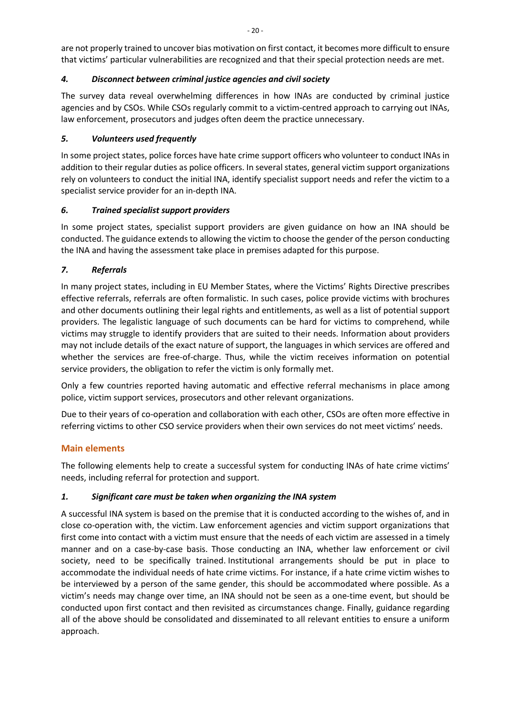are not properly trained to uncover bias motivation on first contact, it becomes more difficult to ensure that victims' particular vulnerabilities are recognized and that their special protection needs are met.

# *4. Disconnect between criminal justice agencies and civil society*

The survey data reveal overwhelming differences in how INAs are conducted by criminal justice agencies and by CSOs. While CSOs regularly commit to a victim-centred approach to carrying out INAs, law enforcement, prosecutors and judges often deem the practice unnecessary.

# *5. Volunteers used frequently*

In some project states, police forces have hate crime support officers who volunteer to conduct INAs in addition to their regular duties as police officers. In several states, general victim support organizations rely on volunteers to conduct the initial INA, identify specialist support needs and refer the victim to a specialist service provider for an in-depth INA.

# *6. Trained specialist support providers*

In some project states, specialist support providers are given guidance on how an INA should be conducted. The guidance extends to allowing the victim to choose the gender of the person conducting the INA and having the assessment take place in premises adapted for this purpose.

# *7. Referrals*

In many project states, including in EU Member States, where the Victims' Rights Directive prescribes effective referrals, referrals are often formalistic. In such cases, police provide victims with brochures and other documents outlining their legal rights and entitlements, as well as a list of potential support providers. The legalistic language of such documents can be hard for victims to comprehend, while victims may struggle to identify providers that are suited to their needs. Information about providers may not include details of the exact nature of support, the languages in which services are offered and whether the services are free-of-charge. Thus, while the victim receives information on potential service providers, the obligation to refer the victim is only formally met.

Only a few countries reported having automatic and effective referral mechanisms in place among police, victim support services, prosecutors and other relevant organizations.

Due to their years of co-operation and collaboration with each other, CSOs are often more effective in referring victims to other CSO service providers when their own services do not meet victims' needs.

# <span id="page-23-0"></span>**Main elements**

The following elements help to create a successful system for conducting INAs of hate crime victims' needs, including referral for protection and support.

# <span id="page-23-1"></span>*1. Significant care must be taken when organizing the INA system*

A successful INA system is based on the premise that it is conducted according to the wishes of, and in close co-operation with, the victim. Law enforcement agencies and victim support organizations that first come into contact with a victim must ensure that the needs of each victim are assessed in a timely manner and on a case-by-case basis. Those conducting an INA, whether law enforcement or civil society, need to be specifically trained. Institutional arrangements should be put in place to accommodate the individual needs of hate crime victims. For instance, if a hate crime victim wishes to be interviewed by a person of the same gender, this should be accommodated where possible. As a victim's needs may change over time, an INA should not be seen as a one-time event, but should be conducted upon first contact and then revisited as circumstances change. Finally, guidance regarding all of the above should be consolidated and disseminated to all relevant entities to ensure a uniform approach.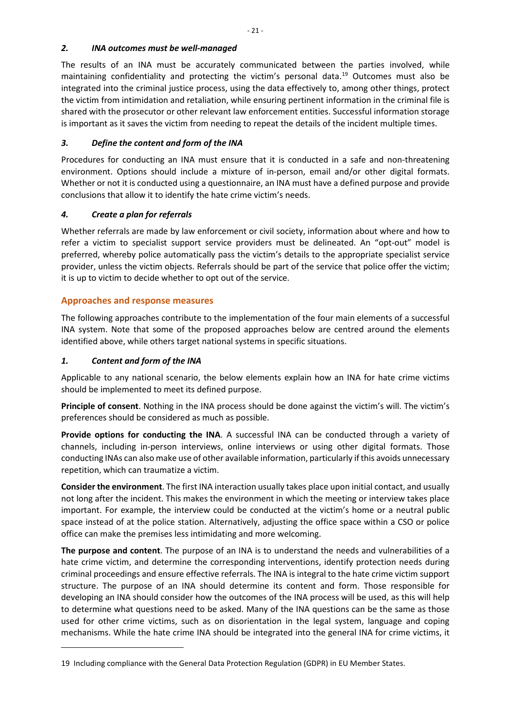#### <span id="page-24-0"></span>*2. INA outcomes must be well-managed*

The results of an INA must be accurately communicated between the parties involved, while maintaining confidentiality and protecting the victim's personal data.<sup>19</sup> Outcomes must also be integrated into the criminal justice process, using the data effectively to, among other things, protect the victim from intimidation and retaliation, while ensuring pertinent information in the criminal file is shared with the prosecutor or other relevant law enforcement entities. Successful information storage is important as it saves the victim from needing to repeat the details of the incident multiple times.

# <span id="page-24-1"></span>*3. Define the content and form of the INA*

Procedures for conducting an INA must ensure that it is conducted in a safe and non-threatening environment. Options should include a mixture of in-person, email and/or other digital formats. Whether or not it is conducted using a questionnaire, an INA must have a defined purpose and provide conclusions that allow it to identify the hate crime victim's needs.

# <span id="page-24-2"></span>*4. Create a plan for referrals*

Whether referrals are made by law enforcement or civil society, information about where and how to refer a victim to specialist support service providers must be delineated. An "opt-out" model is preferred, whereby police automatically pass the victim's details to the appropriate specialist service provider, unless the victim objects. Referrals should be part of the service that police offer the victim; it is up to victim to decide whether to opt out of the service.

# <span id="page-24-3"></span>**Approaches and response measures**

The following approaches contribute to the implementation of the four main elements of a successful INA system. Note that some of the proposed approaches below are centred around the elements identified above, while others target national systems in specific situations.

# <span id="page-24-4"></span>*1. Content and form of the INA*

Applicable to any national scenario, the below elements explain how an INA for hate crime victims should be implemented to meet its defined purpose.

**Principle of consent**. Nothing in the INA process should be done against the victim's will. The victim's preferences should be considered as much as possible.

**Provide options for conducting the INA**. A successful INA can be conducted through a variety of channels, including in-person interviews, online interviews or using other digital formats. Those conducting INAs can also make use of other available information, particularly if this avoids unnecessary repetition, which can traumatize a victim.

**Consider the environment**. The first INA interaction usually takes place upon initial contact, and usually not long after the incident. This makes the environment in which the meeting or interview takes place important. For example, the interview could be conducted at the victim's home or a neutral public space instead of at the police station. Alternatively, adjusting the office space within a CSO or police office can make the premises less intimidating and more welcoming.

**The purpose and content**. The purpose of an INA is to understand the needs and vulnerabilities of a hate crime victim, and determine the corresponding interventions, identify protection needs during criminal proceedings and ensure effective referrals. The INA is integral to the hate crime victim support structure. The purpose of an INA should determine its content and form. Those responsible for developing an INA should consider how the outcomes of the INA process will be used, as this will help to determine what questions need to be asked. Many of the INA questions can be the same as those used for other crime victims, such as on disorientation in the legal system, language and coping mechanisms. While the hate crime INA should be integrated into the general INA for crime victims, it

<span id="page-24-5"></span><sup>19</sup> Including compliance with the General Data Protection Regulation (GDPR) in EU Member States.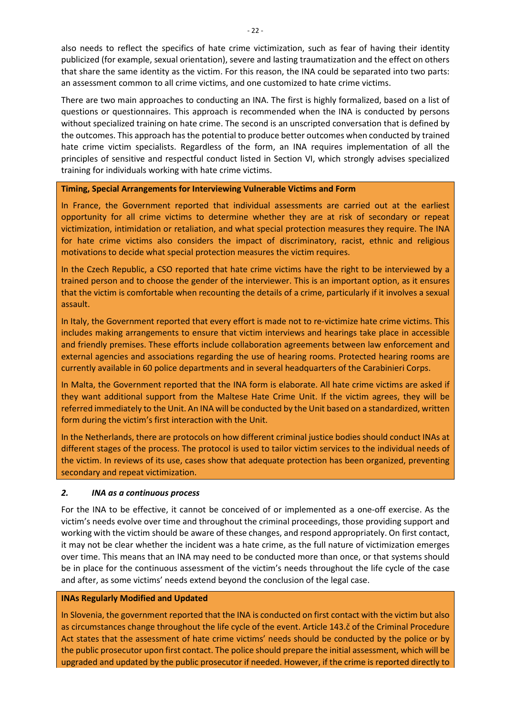also needs to reflect the specifics of hate crime victimization, such as fear of having their identity publicized (for example, sexual orientation), severe and lasting traumatization and the effect on others that share the same identity as the victim. For this reason, the INA could be separated into two parts: an assessment common to all crime victims, and one customized to hate crime victims.

There are two main approaches to conducting an INA. The first is highly formalized, based on a list of questions or questionnaires. This approach is recommended when the INA is conducted by persons without specialized training on hate crime. The second is an unscripted conversation that is defined by the outcomes. This approach has the potential to produce better outcomes when conducted by trained hate crime victim specialists. Regardless of the form, an INA requires implementation of all the principles of sensitive and respectful conduct listed in Section VI, which strongly advises specialized training for individuals working with hate crime victims.

#### **Timing, Special Arrangements for Interviewing Vulnerable Victims and Form**

In France, the Government reported that individual assessments are carried out at the earliest opportunity for all crime victims to determine whether they are at risk of secondary or repeat victimization, intimidation or retaliation, and what special protection measures they require. The INA for hate crime victims also considers the impact of discriminatory, racist, ethnic and religious motivations to decide what special protection measures the victim requires.

In the Czech Republic, a CSO reported that hate crime victims have the right to be interviewed by a trained person and to choose the gender of the interviewer. This is an important option, as it ensures that the victim is comfortable when recounting the details of a crime, particularly if it involves a sexual assault.

In Italy, the Government reported that every effort is made not to re-victimize hate crime victims. This includes making arrangements to ensure that victim interviews and hearings take place in accessible and friendly premises. These efforts include collaboration agreements between law enforcement and external agencies and associations regarding the use of hearing rooms. Protected hearing rooms are currently available in 60 police departments and in several headquarters of the Carabinieri Corps.

In Malta, the Government reported that the INA form is elaborate. All hate crime victims are asked if they want additional support from the Maltese Hate Crime Unit. If the victim agrees, they will be referred immediately to the Unit. An INA will be conducted by the Unit based on a standardized, written form during the victim's first interaction with the Unit.

In the Netherlands, there are protocols on how different criminal justice bodies should conduct INAs at different stages of the process. The protocol is used to tailor victim services to the individual needs of the victim. In reviews of its use, cases show that adequate protection has been organized, preventing secondary and repeat victimization.

#### <span id="page-25-0"></span>*2. INA as a continuous process*

For the INA to be effective, it cannot be conceived of or implemented as a one-off exercise. As the victim's needs evolve over time and throughout the criminal proceedings, those providing support and working with the victim should be aware of these changes, and respond appropriately. On first contact, it may not be clear whether the incident was a hate crime, as the full nature of victimization emerges over time. This means that an INA may need to be conducted more than once, or that systems should be in place for the continuous assessment of the victim's needs throughout the life cycle of the case and after, as some victims' needs extend beyond the conclusion of the legal case.

#### **INAs Regularly Modified and Updated**

In Slovenia, the government reported that the INA is conducted on first contact with the victim but also as circumstances change throughout the life cycle of the event. Article 143.č of the Criminal Procedure Act states that the assessment of hate crime victims' needs should be conducted by the police or by the public prosecutor upon first contact. The police should prepare the initial assessment, which will be upgraded and updated by the public prosecutor if needed. However, if the crime is reported directly to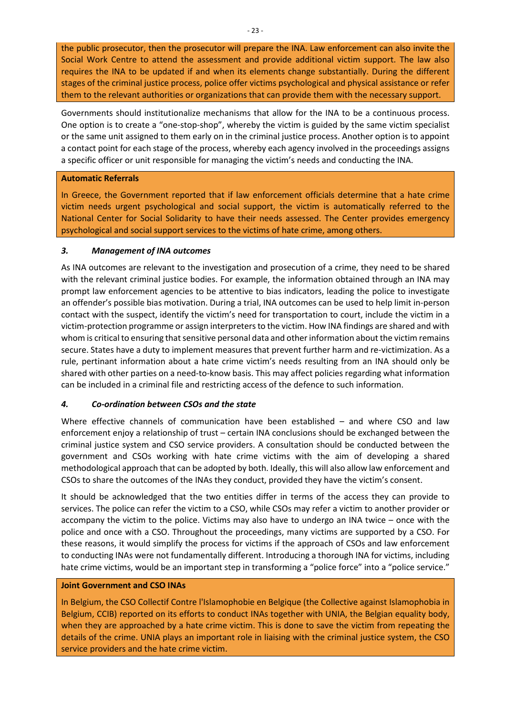the public prosecutor, then the prosecutor will prepare the INA. Law enforcement can also invite the Social Work Centre to attend the assessment and provide additional victim support. The law also requires the INA to be updated if and when its elements change substantially. During the different stages of the criminal justice process, police offer victims psychological and physical assistance or refer them to the relevant authorities or organizations that can provide them with the necessary support.

Governments should institutionalize mechanisms that allow for the INA to be a continuous process. One option is to create a "one-stop-shop", whereby the victim is guided by the same victim specialist or the same unit assigned to them early on in the criminal justice process. Another option is to appoint a contact point for each stage of the process, whereby each agency involved in the proceedings assigns a specific officer or unit responsible for managing the victim's needs and conducting the INA.

#### **Automatic Referrals**

In Greece, the Government reported that if law enforcement officials determine that a hate crime victim needs urgent psychological and social support, the victim is automatically referred to the National Center for Social Solidarity to have their needs assessed. The Center provides emergency psychological and social support services to the victims of hate crime, among others.

#### <span id="page-26-0"></span>*3. Management of INA outcomes*

As INA outcomes are relevant to the investigation and prosecution of a crime, they need to be shared with the relevant criminal justice bodies. For example, the information obtained through an INA may prompt law enforcement agencies to be attentive to bias indicators, leading the police to investigate an offender's possible bias motivation. During a trial, INA outcomes can be used to help limit in-person contact with the suspect, identify the victim's need for transportation to court, include the victim in a victim-protection programme or assign interpreters to the victim. How INA findings are shared and with whom is critical to ensuring that sensitive personal data and other information about the victim remains secure. States have a duty to implement measures that prevent further harm and re-victimization. As a rule, pertinant information about a hate crime victim's needs resulting from an INA should only be shared with other parties on a need-to-know basis. This may affect policies regarding what information can be included in a criminal file and restricting access of the defence to such information.

# <span id="page-26-1"></span>*4. Co-ordination between CSOs and the state*

Where effective channels of communication have been established – and where CSO and law enforcement enjoy a relationship of trust – certain INA conclusions should be exchanged between the criminal justice system and CSO service providers. A consultation should be conducted between the government and CSOs working with hate crime victims with the aim of developing a shared methodological approach that can be adopted by both. Ideally, this will also allow law enforcement and CSOs to share the outcomes of the INAs they conduct, provided they have the victim's consent.

It should be acknowledged that the two entities differ in terms of the access they can provide to services. The police can refer the victim to a CSO, while CSOs may refer a victim to another provider or accompany the victim to the police. Victims may also have to undergo an INA twice – once with the police and once with a CSO. Throughout the proceedings, many victims are supported by a CSO. For these reasons, it would simplify the process for victims if the approach of CSOs and law enforcement to conducting INAs were not fundamentally different. Introducing a thorough INA for victims, including hate crime victims, would be an important step in transforming a "police force" into a "police service."

#### **Joint Government and CSO INAs**

In Belgium, the CSO Collectif Contre l'Islamophobie en Belgique (the Collective against Islamophobia in Belgium, CCIB) reported on its efforts to conduct INAs together with UNIA, the Belgian equality body, when they are approached by a hate crime victim. This is done to save the victim from repeating the details of the crime. UNIA plays an important role in liaising with the criminal justice system, the CSO service providers and the hate crime victim.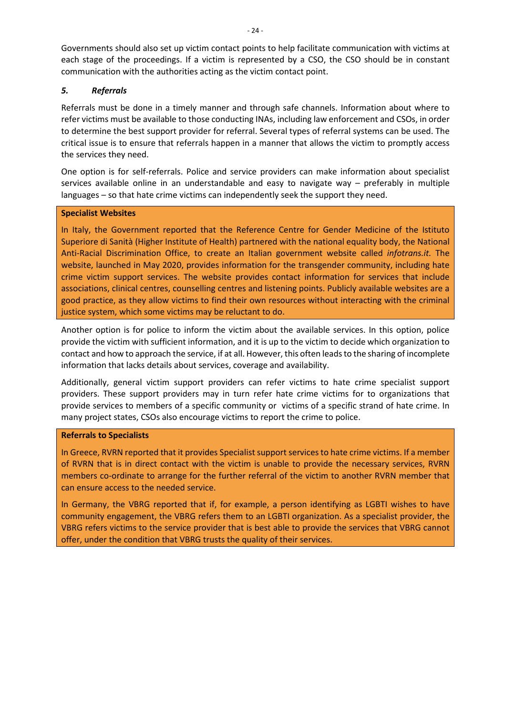Governments should also set up victim contact points to help facilitate communication with victims at each stage of the proceedings. If a victim is represented by a CSO, the CSO should be in constant communication with the authorities acting as the victim contact point.

#### <span id="page-27-0"></span>*5. Referrals*

Referrals must be done in a timely manner and through safe channels. Information about where to refer victims must be available to those conducting INAs, including law enforcement and CSOs, in order to determine the best support provider for referral. Several types of referral systems can be used. The critical issue is to ensure that referrals happen in a manner that allows the victim to promptly access the services they need.

One option is for self-referrals. Police and service providers can make information about specialist services available online in an understandable and easy to navigate way – preferably in multiple languages – so that hate crime victims can independently seek the support they need.

#### **Specialist Websites**

In Italy, the Government reported that the Reference Centre for Gender Medicine of the Istituto Superiore di Sanità (Higher Institute of Health) partnered with the national equality body, the National Anti-Racial Discrimination Office, to create an Italian government website called *infotrans.it.* The website, launched in May 2020, provides information for the transgender community, including hate crime victim support services. The website provides contact information for services that include associations, clinical centres, counselling centres and listening points. Publicly available websites are a good practice, as they allow victims to find their own resources without interacting with the criminal justice system, which some victims may be reluctant to do.

Another option is for police to inform the victim about the available services. In this option, police provide the victim with sufficient information, and it is up to the victim to decide which organization to contact and how to approach the service, if at all. However, this often leads to the sharing of incomplete information that lacks details about services, coverage and availability.

Additionally, general victim support providers can refer victims to hate crime specialist support providers. These support providers may in turn refer hate crime victims for to organizations that provide services to members of a specific community or victims of a specific strand of hate crime. In many project states, CSOs also encourage victims to report the crime to police.

#### **Referrals to Specialists**

In Greece, RVRN reported that it provides Specialist support services to hate crime victims. If a member of RVRN that is in direct contact with the victim is unable to provide the necessary services, RVRN members co-ordinate to arrange for the further referral of the victim to another RVRN member that can ensure access to the needed service.

In Germany, the VBRG reported that if, for example, a person identifying as LGBTI wishes to have community engagement, the VBRG refers them to an LGBTI organization. As a specialist provider, the VBRG refers victims to the service provider that is best able to provide the services that VBRG cannot offer, under the condition that VBRG trusts the quality of their services.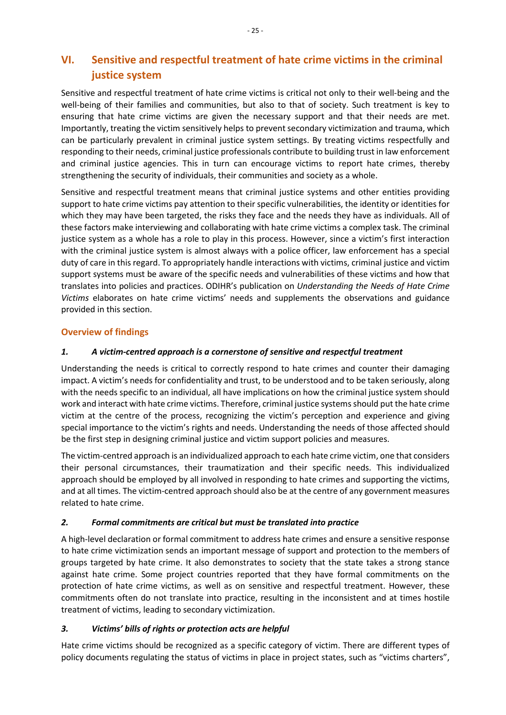# <span id="page-28-0"></span>**VI. Sensitive and respectful treatment of hate crime victims in the criminal justice system**

Sensitive and respectful treatment of hate crime victims is critical not only to their well-being and the well-being of their families and communities, but also to that of society. Such treatment is key to ensuring that hate crime victims are given the necessary support and that their needs are met. Importantly, treating the victim sensitively helps to prevent secondary victimization and trauma, which can be particularly prevalent in criminal justice system settings. By treating victims respectfully and responding to their needs, criminal justice professionals contribute to building trust in law enforcement and criminal justice agencies. This in turn can encourage victims to report hate crimes, thereby strengthening the security of individuals, their communities and society as a whole.

Sensitive and respectful treatment means that criminal justice systems and other entities providing support to hate crime victims pay attention to their specific vulnerabilities, the identity or identities for which they may have been targeted, the risks they face and the needs they have as individuals. All of these factors make interviewing and collaborating with hate crime victims a complex task. The criminal justice system as a whole has a role to play in this process. However, since a victim's first interaction with the criminal justice system is almost always with a police officer, law enforcement has a special duty of care in this regard. To appropriately handle interactions with victims, criminal justice and victim support systems must be aware of the specific needs and vulnerabilities of these victims and how that translates into policies and practices. ODIHR's publication on *Understanding the Needs of Hate Crime Victims* elaborates on hate crime victims' needs and supplements the observations and guidance provided in this section.

# <span id="page-28-1"></span>**Overview of findings**

# <span id="page-28-2"></span>*1. A victim-centred approach is a cornerstone of sensitive and respectful treatment*

Understanding the needs is critical to correctly respond to hate crimes and counter their damaging impact. A victim's needs for confidentiality and trust, to be understood and to be taken seriously, along with the needs specific to an individual, all have implications on how the criminal justice system should work and interact with hate crime victims. Therefore, criminal justice systemsshould put the hate crime victim at the centre of the process, recognizing the victim's perception and experience and giving special importance to the victim's rights and needs. Understanding the needs of those affected should be the first step in designing criminal justice and victim support policies and measures.

The victim-centred approach is an individualized approach to each hate crime victim, one that considers their personal circumstances, their traumatization and their specific needs. This individualized approach should be employed by all involved in responding to hate crimes and supporting the victims, and at all times. The victim-centred approach should also be at the centre of any government measures related to hate crime.

# <span id="page-28-3"></span>*2. Formal commitments are critical but must be translated into practice*

A high-level declaration or formal commitment to address hate crimes and ensure a sensitive response to hate crime victimization sends an important message of support and protection to the members of groups targeted by hate crime. It also demonstrates to society that the state takes a strong stance against hate crime. Some project countries reported that they have formal commitments on the protection of hate crime victims, as well as on sensitive and respectful treatment. However, these commitments often do not translate into practice, resulting in the inconsistent and at times hostile treatment of victims, leading to secondary victimization.

# <span id="page-28-4"></span>*3. Victims' bills of rights or protection acts are helpful*

Hate crime victims should be recognized as a specific category of victim. There are different types of policy documents regulating the status of victims in place in project states, such as "victims charters",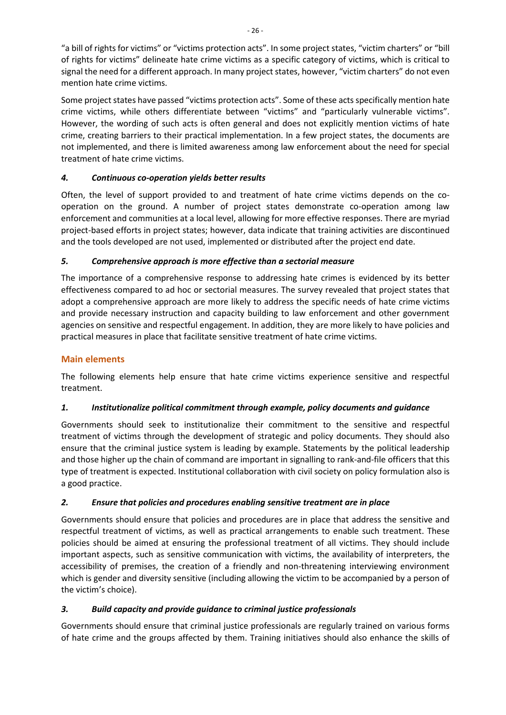"a bill of rights for victims" or "victims protection acts". In some project states, "victim charters" or "bill of rights for victims" delineate hate crime victims as a specific category of victims, which is critical to signal the need for a different approach. In many project states, however, "victim charters" do not even mention hate crime victims.

Some project states have passed "victims protection acts". Some of these acts specifically mention hate crime victims, while others differentiate between "victims" and "particularly vulnerable victims". However, the wording of such acts is often general and does not explicitly mention victims of hate crime, creating barriers to their practical implementation. In a few project states, the documents are not implemented, and there is limited awareness among law enforcement about the need for special treatment of hate crime victims.

# <span id="page-29-0"></span>*4. Continuous co-operation yields better results*

Often, the level of support provided to and treatment of hate crime victims depends on the cooperation on the ground. A number of project states demonstrate co-operation among law enforcement and communities at a local level, allowing for more effective responses. There are myriad project-based efforts in project states; however, data indicate that training activities are discontinued and the tools developed are not used, implemented or distributed after the project end date.

# <span id="page-29-1"></span>*5. Comprehensive approach is more effective than a sectorial measure*

The importance of a comprehensive response to addressing hate crimes is evidenced by its better effectiveness compared to ad hoc or sectorial measures. The survey revealed that project states that adopt a comprehensive approach are more likely to address the specific needs of hate crime victims and provide necessary instruction and capacity building to law enforcement and other government agencies on sensitive and respectful engagement. In addition, they are more likely to have policies and practical measures in place that facilitate sensitive treatment of hate crime victims.

# <span id="page-29-2"></span>**Main elements**

The following elements help ensure that hate crime victims experience sensitive and respectful treatment.

# <span id="page-29-3"></span>*1. Institutionalize political commitment through example, policy documents and guidance*

Governments should seek to institutionalize their commitment to the sensitive and respectful treatment of victims through the development of strategic and policy documents. They should also ensure that the criminal justice system is leading by example. Statements by the political leadership and those higher up the chain of command are important in signalling to rank-and-file officers that this type of treatment is expected. Institutional collaboration with civil society on policy formulation also is a good practice.

# <span id="page-29-4"></span>*2. Ensure that policies and procedures enabling sensitive treatment are in place*

Governments should ensure that policies and procedures are in place that address the sensitive and respectful treatment of victims, as well as practical arrangements to enable such treatment. These policies should be aimed at ensuring the professional treatment of all victims. They should include important aspects, such as sensitive communication with victims, the availability of interpreters, the accessibility of premises, the creation of a friendly and non-threatening interviewing environment which is gender and diversity sensitive (including allowing the victim to be accompanied by a person of the victim's choice).

# <span id="page-29-5"></span>*3. Build capacity and provide guidance to criminal justice professionals*

Governments should ensure that criminal justice professionals are regularly trained on various forms of hate crime and the groups affected by them. Training initiatives should also enhance the skills of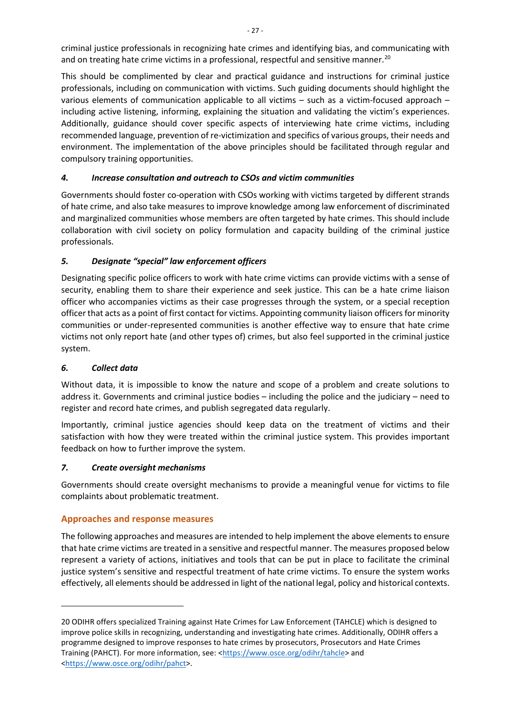criminal justice professionals in recognizing hate crimes and identifying bias, and communicating with and on treating hate crime victims in a professional, respectful and sensitive manner.<sup>[20](#page-30-5)</sup>

This should be complimented by clear and practical guidance and instructions for criminal justice professionals, including on communication with victims. Such guiding documents should highlight the various elements of communication applicable to all victims – such as a victim-focused approach – including active listening, informing, explaining the situation and validating the victim's experiences. Additionally, guidance should cover specific aspects of interviewing hate crime victims, including recommended language, prevention of re-victimization and specifics of various groups, their needs and environment. The implementation of the above principles should be facilitated through regular and compulsory training opportunities.

# <span id="page-30-0"></span>*4. Increase consultation and outreach to CSOs and victim communities*

Governments should foster co-operation with CSOs working with victims targeted by different strands of hate crime, and also take measures to improve knowledge among law enforcement of discriminated and marginalized communities whose members are often targeted by hate crimes. This should include collaboration with civil society on policy formulation and capacity building of the criminal justice professionals.

# <span id="page-30-1"></span>*5. Designate "special" law enforcement officers*

Designating specific police officers to work with hate crime victims can provide victims with a sense of security, enabling them to share their experience and seek justice. This can be a hate crime liaison officer who accompanies victims as their case progresses through the system, or a special reception officer that acts as a point of first contact for victims. Appointing community liaison officers for minority communities or under-represented communities is another effective way to ensure that hate crime victims not only report hate (and other types of) crimes, but also feel supported in the criminal justice system.

# <span id="page-30-2"></span>*6. Collect data*

Without data, it is impossible to know the nature and scope of a problem and create solutions to address it. Governments and criminal justice bodies – including the police and the judiciary – need to register and record hate crimes, and publish segregated data regularly.

Importantly, criminal justice agencies should keep data on the treatment of victims and their satisfaction with how they were treated within the criminal justice system. This provides important feedback on how to further improve the system.

# <span id="page-30-3"></span>*7. Create oversight mechanisms*

Governments should create oversight mechanisms to provide a meaningful venue for victims to file complaints about problematic treatment.

# <span id="page-30-4"></span>**Approaches and response measures**

The following approaches and measures are intended to help implement the above elements to ensure that hate crime victims are treated in a sensitive and respectful manner. The measures proposed below represent a variety of actions, initiatives and tools that can be put in place to facilitate the criminal justice system's sensitive and respectful treatment of hate crime victims. To ensure the system works effectively, all elements should be addressed in light of the national legal, policy and historical contexts.

<span id="page-30-5"></span><sup>20</sup> ODIHR offers specialized Training against Hate Crimes for Law Enforcement (TAHCLE) which is designed to improve police skills in recognizing, understanding and investigating hate crimes. Additionally, ODIHR offers a programme designed to improve responses to hate crimes by prosecutors, Prosecutors and Hate Crimes Training (PAHCT). For more information, see: [<https://www.osce.org/odihr/tahcle>](https://www.osce.org/odihr/tahcle) and [<https://www.osce.org/odihr/pahct>](https://www.osce.org/odihr/pahct).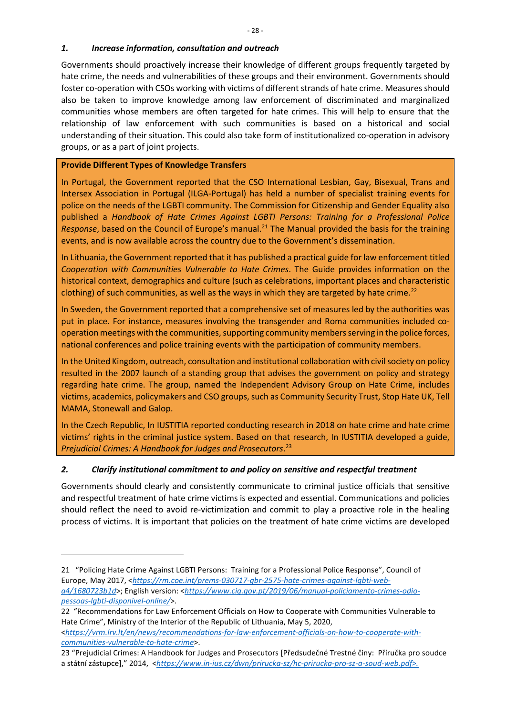#### <span id="page-31-0"></span>*1. Increase information, consultation and outreach*

Governments should proactively increase their knowledge of different groups frequently targeted by hate crime, the needs and vulnerabilities of these groups and their environment. Governments should foster co-operation with CSOs working with victims of different strands of hate crime. Measures should also be taken to improve knowledge among law enforcement of discriminated and marginalized communities whose members are often targeted for hate crimes. This will help to ensure that the relationship of law enforcement with such communities is based on a historical and social understanding of their situation. This could also take form of institutionalized co-operation in advisory groups, or as a part of joint projects.

#### **Provide Different Types of Knowledge Transfers**

In Portugal, the Government reported that the CSO International Lesbian, Gay, Bisexual, Trans and Intersex Association in Portugal (ILGA-Portugal) has held a number of specialist training events for police on the needs of the LGBTI community. The Commission for Citizenship and Gender Equality also published a *Handbook of Hate Crimes Against LGBTI Persons: Training for a Professional Police Response*, based on the Council of Europe's manual.<sup>[21](#page-31-2)</sup> The Manual provided the basis for the training events, and is now available across the country due to the Government's dissemination.

In Lithuania, the Government reported that it has published a practical guide for law enforcement titled *Cooperation with Communities Vulnerable to Hate Crimes*. The Guide provides information on the historical context, demographics and culture (such as celebrations, important places and characteristic clothing) of such communities, as well as the ways in which they are targeted by hate crime.<sup>[22](#page-31-3)</sup>

In Sweden, the Government reported that a comprehensive set of measures led by the authorities was put in place. For instance, measures involving the transgender and Roma communities included cooperation meetings with the communities, supporting community members serving in the police forces, national conferences and police training events with the participation of community members.

In the United Kingdom, outreach, consultation and institutional collaboration with civil society on policy resulted in the 2007 launch of a standing group that advises the government on policy and strategy regarding hate crime. The group, named the Independent Advisory Group on Hate Crime, includes victims, academics, policymakers and CSO groups, such as Community Security Trust, Stop Hate UK, Tell MAMA, Stonewall and Galop.

In the Czech Republic, In IUSTITIA reported conducting research in 2018 on hate crime and hate crime victims' rights in the criminal justice system. Based on that research, In IUSTITIA developed a guide, *Prejudicial Crimes: A Handbook for Judges and Prosecutors*. [23](#page-31-4)

#### <span id="page-31-1"></span>*2. Clarify institutional commitment to and policy on sensitive and respectful treatment*

Governments should clearly and consistently communicate to criminal justice officials that sensitive and respectful treatment of hate crime victims is expected and essential. Communications and policies should reflect the need to avoid re-victimization and commit to play a proactive role in the healing process of victims. It is important that policies on the treatment of hate crime victims are developed

<span id="page-31-2"></span><sup>21</sup> "Policing Hate Crime Against LGBTI Persons: Training for a Professional Police Response", Council of Europe, May 2017, <*[https://rm.coe.int/prems-030717-gbr-2575-hate-crimes-against-lgbti-web](https://rm.coe.int/prems-030717-gbr-2575-hate-crimes-against-lgbti-web-a4/1680723b1d)[a4/1680723b1d](https://rm.coe.int/prems-030717-gbr-2575-hate-crimes-against-lgbti-web-a4/1680723b1d)*>; English version: <*[https://www.cig.gov.pt/2019/06/manual-policiamento-crimes-odio](https://www.cig.gov.pt/2019/06/manual-policiamento-crimes-odio-pessoas-lgbti-disponivel-online/)[pessoas-lgbti-disponivel-online/](https://www.cig.gov.pt/2019/06/manual-policiamento-crimes-odio-pessoas-lgbti-disponivel-online/)*>.

<span id="page-31-3"></span><sup>22</sup> "Recommendations for Law Enforcement Officials on How to Cooperate with Communities Vulnerable to Hate Crime", Ministry of the Interior of the Republic of Lithuania, May 5, 2020, <*[https://vrm.lrv.lt/en/news/recommendations-for-law-enforcement-officials-on-how-to-cooperate-with-](https://vrm.lrv.lt/en/news/recommendations-for-law-enforcement-officials-on-how-to-cooperate-with-communities-vulnerable-to-hate-crime)*

<span id="page-31-4"></span>*[communities-vulnerable-to-hate-crime](https://vrm.lrv.lt/en/news/recommendations-for-law-enforcement-officials-on-how-to-cooperate-with-communities-vulnerable-to-hate-crime)*>. 23 "Prejudicial Crimes: A Handbook for Judges and Prosecutors [Předsudečné Trestné činy: Příručka pro soudce a státní zástupce]," 2014, <*[https://www.in-ius.cz/dwn/prirucka-sz/hc-prirucka-pro-sz-a-soud-web.pdf>.](https://www.in-ius.cz/dwn/prirucka-sz/hc-prirucka-pro-sz-a-soud-web.pdf%3e.)*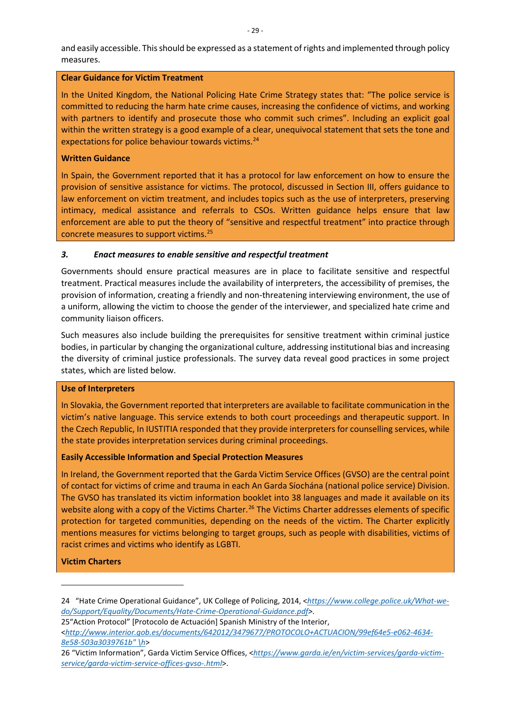and easily accessible. This should be expressed as a statement of rights and implemented through policy measures.

#### **Clear Guidance for Victim Treatment**

In the United Kingdom, the National Policing Hate Crime Strategy states that: "The police service is committed to reducing the harm hate crime causes, increasing the confidence of victims, and working with partners to identify and prosecute those who commit such crimes". Including an explicit goal within the written strategy is a good example of a clear, unequivocal statement that sets the tone and expectations for police behaviour towards victims. [24](#page-32-1)

#### **Written Guidance**

In Spain, the Government reported that it has a protocol for law enforcement on how to ensure the provision of sensitive assistance for victims. The protocol, discussed in Section III, offers guidance to law enforcement on victim treatment, and includes topics such as the use of interpreters, preserving intimacy, medical assistance and referrals to CSOs. Written guidance helps ensure that law enforcement are able to put the theory of "sensitive and respectful treatment" into practice through concrete measures to support victims.[25](#page-32-2)

#### <span id="page-32-0"></span>*3. Enact measures to enable sensitive and respectful treatment*

Governments should ensure practical measures are in place to facilitate sensitive and respectful treatment. Practical measures include the availability of interpreters, the accessibility of premises, the provision of information, creating a friendly and non-threatening interviewing environment, the use of a uniform, allowing the victim to choose the gender of the interviewer, and specialized hate crime and community liaison officers.

Such measures also include building the prerequisites for sensitive treatment within criminal justice bodies, in particular by changing the organizational culture, addressing institutional bias and increasing the diversity of criminal justice professionals. The survey data reveal good practices in some project states, which are listed below.

# **Use of Interpreters**

In Slovakia, the Government reported that interpreters are available to facilitate communication in the victim's native language. This service extends to both court proceedings and therapeutic support. In the Czech Republic, In IUSTITIA responded that they provide interpreters for counselling services, while the state provides interpretation services during criminal proceedings.

#### **Easily Accessible Information and Special Protection Measures**

In Ireland, the Government reported that the Garda Victim Service Offices (GVSO) are the central point of contact for victims of crime and trauma in each An Garda Síochána (national police service) Division. The GVSO has translated its victim information booklet into 38 languages and made it available on its website along with a copy of the Victims Charter.<sup>[26](#page-32-3)</sup> The Victims Charter addresses elements of specific protection for targeted communities, depending on the needs of the victim. The Charter explicitly mentions measures for victims belonging to target groups, such as people with disabilities, victims of racist crimes and victims who identify as LGBTI.

# **Victim Charters**

<span id="page-32-2"></span>25"Action Protocol" [Protocolo de Actuación] Spanish Ministry of the Interior, <*[http://www.interior.gob.es/documents/642012/3479677/PROTOCOLO+ACTUACION/99ef64e5-e062-4634-](http://www.interior.gob.es/documents/642012/3479677/PROTOCOLO+ACTUACION/99ef64e5-e062-4634-8e58-503a3039761b%22%20/h) [8e58-503a3039761b" \h](http://www.interior.gob.es/documents/642012/3479677/PROTOCOLO+ACTUACION/99ef64e5-e062-4634-8e58-503a3039761b%22%20/h)*>

<span id="page-32-1"></span><sup>24</sup> "Hate Crime Operational Guidance", UK College of Policing, 2014, <*[https://www.college.police.uk/What-we](https://www.college.police.uk/What-we-do/Support/Equality/Documents/Hate-Crime-Operational-Guidance.pdf)[do/Support/Equality/Documents/Hate-Crime-Operational-Guidance.pdf>](https://www.college.police.uk/What-we-do/Support/Equality/Documents/Hate-Crime-Operational-Guidance.pdf)*.

<span id="page-32-3"></span><sup>26</sup> "Victim Information", Garda Victim Service Offices, <*https://www.garda.ie/en/victim-services/garda-victimservice/garda-victim-service-offices-gvso-.html*>.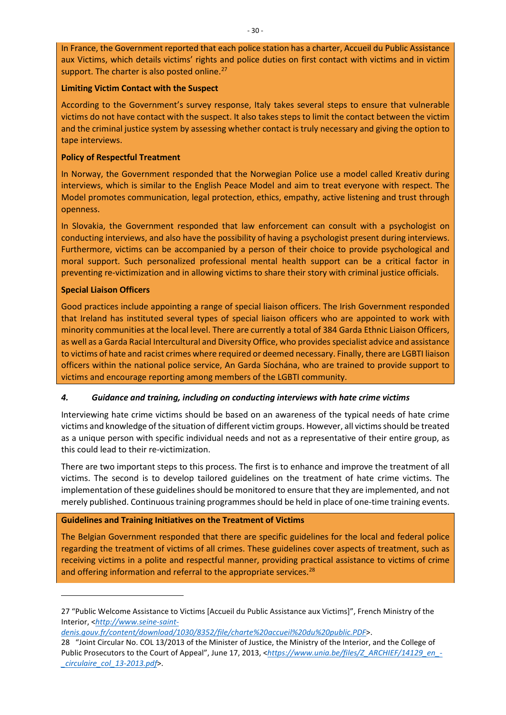In France, the Government reported that each police station has a charter, Accueil du Public Assistance aux Victims, which details victims' rights and police duties on first contact with victims and in victim support. The charter is also posted online. $27$ 

#### **Limiting Victim Contact with the Suspect**

According to the Government's survey response, Italy takes several steps to ensure that vulnerable victims do not have contact with the suspect. It also takes steps to limit the contact between the victim and the criminal justice system by assessing whether contact is truly necessary and giving the option to tape interviews.

#### **Policy of Respectful Treatment**

In Norway, the Government responded that the Norwegian Police use a model called Kreativ during interviews, which is similar to the English Peace Model and aim to treat everyone with respect. The Model promotes communication, legal protection, ethics, empathy, active listening and trust through openness.

In Slovakia, the Government responded that law enforcement can consult with a psychologist on conducting interviews, and also have the possibility of having a psychologist present during interviews. Furthermore, victims can be accompanied by a person of their choice to provide psychological and moral support. Such personalized professional mental health support can be a critical factor in preventing re-victimization and in allowing victims to share their story with criminal justice officials.

#### **Special Liaison Officers**

Good practices include appointing a range of special liaison officers. The Irish Government responded that Ireland has instituted several types of special liaison officers who are appointed to work with minority communities at the local level. There are currently a total of 384 Garda Ethnic Liaison Officers, as well as a Garda Racial Intercultural and Diversity Office, who provides specialist advice and assistance to victims of hate and racist crimes where required or deemed necessary. Finally, there are LGBTI liaison officers within the national police service, An Garda Síochána, who are trained to provide support to victims and encourage reporting among members of the LGBTI community.

#### <span id="page-33-0"></span>*4. Guidance and training, including on conducting interviews with hate crime victims*

Interviewing hate crime victims should be based on an awareness of the typical needs of hate crime victims and knowledge of the situation of different victim groups. However, all victims should be treated as a unique person with specific individual needs and not as a representative of their entire group, as this could lead to their re-victimization.

There are two important steps to this process. The first is to enhance and improve the treatment of all victims. The second is to develop tailored guidelines on the treatment of hate crime victims. The implementation of these guidelines should be monitored to ensure that they are implemented, and not merely published. Continuous training programmes should be held in place of one-time training events.

#### **Guidelines and Training Initiatives on the Treatment of Victims**

The Belgian Government responded that there are specific guidelines for the local and federal police regarding the treatment of victims of all crimes. These guidelines cover aspects of treatment, such as receiving victims in a polite and respectful manner, providing practical assistance to victims of crime and offering information and referral to the appropriate services.<sup>[28](#page-33-2)</sup>

<span id="page-33-1"></span><sup>27</sup> "Public Welcome Assistance to Victims [Accueil du Public Assistance aux Victims]", French Ministry of the Interior, <*[http://www.seine-saint-](http://www.seine-saint-denis.gouv.fr/content/download/1030/8352/file/charte%20accueil%20du%20public.PDF)*

*[denis.gouv.fr/content/download/1030/8352/file/charte%20accueil%20du%20public.PDF](http://www.seine-saint-denis.gouv.fr/content/download/1030/8352/file/charte%20accueil%20du%20public.PDF)*>.

<span id="page-33-2"></span><sup>28</sup> "Joint Circular No. COL 13/2013 of the Minister of Justice, the Ministry of the Interior, and the College of Public Prosecutors to the Court of Appeal", June 17, 2013, <*[https://www.unia.be/files/Z\\_ARCHIEF/14129\\_en\\_-](https://www.unia.be/files/Z_ARCHIEF/14129_en_-_circulaire_col_13-2013.pdf) [\\_circulaire\\_col\\_13-2013.pdf](https://www.unia.be/files/Z_ARCHIEF/14129_en_-_circulaire_col_13-2013.pdf)*>.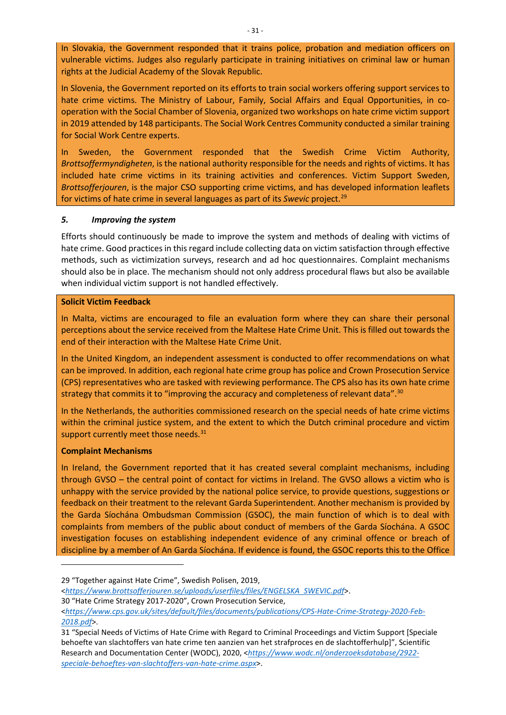In Slovakia, the Government responded that it trains police, probation and mediation officers on vulnerable victims. Judges also regularly participate in training initiatives on criminal law or human rights at the Judicial Academy of the Slovak Republic.

In Slovenia, the Government reported on its efforts to train social workers offering support services to hate crime victims. The Ministry of Labour, Family, Social Affairs and Equal Opportunities, in cooperation with the Social Chamber of Slovenia, organized two workshops on hate crime victim support in 2019 attended by 148 participants. The Social Work Centres Community conducted a similar training for Social Work Centre experts.

In Sweden, the Government responded that the Swedish Crime Victim Authority, *Brottsoffermyndigheten*, is the national authority responsible for the needs and rights of victims. It has included hate crime victims in its training activities and conferences. Victim Support Sweden, *Brottsofferjouren*, is the major CSO supporting crime victims, and has developed information leaflets for victims of hate crime in several languages as part of its *Swevic* project.[29](#page-34-1)

#### <span id="page-34-0"></span>*5. Improving the system*

Efforts should continuously be made to improve the system and methods of dealing with victims of hate crime. Good practices in this regard include collecting data on victim satisfaction through effective methods, such as victimization surveys, research and ad hoc questionnaires. Complaint mechanisms should also be in place. The mechanism should not only address procedural flaws but also be available when individual victim support is not handled effectively.

#### **Solicit Victim Feedback**

In Malta, victims are encouraged to file an evaluation form where they can share their personal perceptions about the service received from the Maltese Hate Crime Unit. This is filled out towards the end of their interaction with the Maltese Hate Crime Unit.

In the United Kingdom, an independent assessment is conducted to offer recommendations on what can be improved. In addition, each regional hate crime group has police and Crown Prosecution Service (CPS) representatives who are tasked with reviewing performance. The CPS also has its own hate crime strategy that commits it to "improving the accuracy and completeness of relevant data".<sup>[30](#page-34-2)</sup>

In the Netherlands, the authorities commissioned research on the special needs of hate crime victims within the criminal justice system, and the extent to which the Dutch criminal procedure and victim support currently meet those needs.<sup>[31](#page-34-3)</sup>

#### **Complaint Mechanisms**

In Ireland, the Government reported that it has created several complaint mechanisms, including through GVSO – the central point of contact for victims in Ireland. The GVSO allows a victim who is unhappy with the service provided by the national police service, to provide questions, suggestions or feedback on their treatment to the relevant Garda Superintendent. Another mechanism is provided by the Garda Síochána Ombudsman Commission (GSOC), the main function of which is to deal with complaints from members of the public about conduct of members of the Garda Síochána. A GSOC investigation focuses on establishing independent evidence of any criminal offence or breach of discipline by a member of An Garda Síochána. If evidence is found, the GSOC reports this to the Office

<span id="page-34-1"></span>29 "Together against Hate Crime", Swedish Polisen, 2019,

<*[https://www.brottsofferjouren.se/uploads/userfiles/files/ENGELSKA\\_SWEVIC.pdf](https://www.brottsofferjouren.se/uploads/userfiles/files/ENGELSKA_SWEVIC.pdf)*>.

<span id="page-34-2"></span><sup>30</sup> "Hate Crime Strategy 2017-2020", Crown Prosecution Service,

<sup>&</sup>lt;*[https://www.cps.gov.uk/sites/default/files/documents/publications/CPS-Hate-Crime-Strategy-2020-Feb-](https://www.cps.gov.uk/sites/default/files/documents/publications/CPS-Hate-Crime-Strategy-2020-Feb-2018.pdf)[2018.pdf](https://www.cps.gov.uk/sites/default/files/documents/publications/CPS-Hate-Crime-Strategy-2020-Feb-2018.pdf)*>.

<span id="page-34-3"></span><sup>31</sup> "Special Needs of Victims of Hate Crime with Regard to Criminal Proceedings and Victim Support [Speciale behoefte van slachtoffers van hate crime ten aanzien van het strafproces en de slachtofferhulp]", Scientific Research and Documentation Center (WODC), 2020, <*[https://www.wodc.nl/onderzoeksdatabase/2922](https://www.wodc.nl/onderzoeksdatabase/2922-speciale-behoeftes-van-slachtoffers-van-hate-crime.aspx) [speciale-behoeftes-van-slachtoffers-van-hate-crime.aspx](https://www.wodc.nl/onderzoeksdatabase/2922-speciale-behoeftes-van-slachtoffers-van-hate-crime.aspx)*>.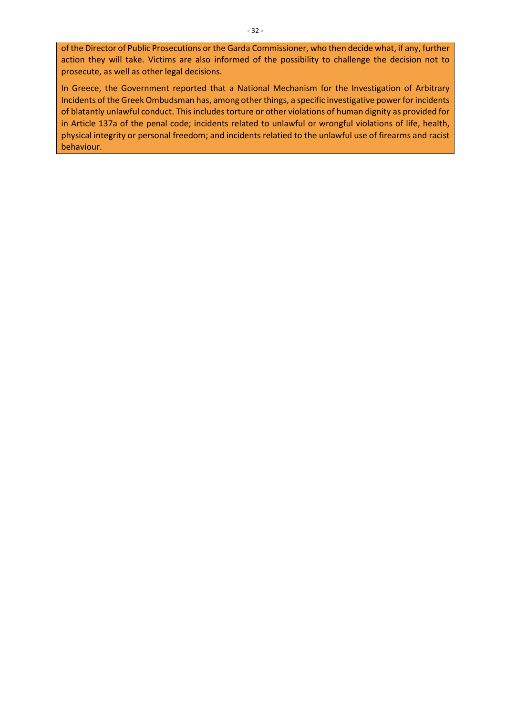of the Director of Public Prosecutions or the Garda Commissioner, who then decide what, if any, further action they will take. Victims are also informed of the possibility to challenge the decision not to prosecute, as well as other legal decisions.

In Greece, the Government reported that a National Mechanism for the Investigation of Arbitrary Incidents of the Greek Ombudsman has, among other things, a specific investigative power for incidents of blatantly unlawful conduct. This includes torture or other violations of human dignity as provided for in Article 137a of the penal code; incidents related to unlawful or wrongful violations of life, health, physical integrity or personal freedom; and incidents relatied to the unlawful use of firearms and racist behaviour.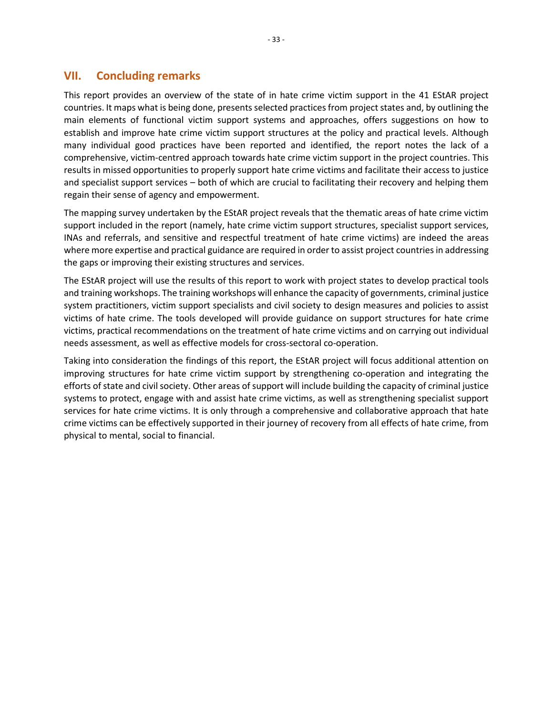# **VII. Concluding remarks**

<span id="page-36-0"></span>This report provides an overview of the state of in hate crime victim support in the 41 EStAR project countries. It maps what is being done, presents selected practices from project states and, by outlining the main elements of functional victim support systems and approaches, offers suggestions on how to establish and improve hate crime victim support structures at the policy and practical levels. Although many individual good practices have been reported and identified, the report notes the lack of a comprehensive, victim-centred approach towards hate crime victim support in the project countries. This results in missed opportunities to properly support hate crime victims and facilitate their access to justice and specialist support services – both of which are crucial to facilitating their recovery and helping them regain their sense of agency and empowerment.

The mapping survey undertaken by the EStAR project reveals that the thematic areas of hate crime victim support included in the report (namely, hate crime victim support structures, specialist support services, INAs and referrals, and sensitive and respectful treatment of hate crime victims) are indeed the areas where more expertise and practical guidance are required in order to assist project countries in addressing the gaps or improving their existing structures and services.

The EStAR project will use the results of this report to work with project states to develop practical tools and training workshops. The training workshops will enhance the capacity of governments, criminal justice system practitioners, victim support specialists and civil society to design measures and policies to assist victims of hate crime. The tools developed will provide guidance on support structures for hate crime victims, practical recommendations on the treatment of hate crime victims and on carrying out individual needs assessment, as well as effective models for cross-sectoral co-operation.

Taking into consideration the findings of this report, the EStAR project will focus additional attention on improving structures for hate crime victim support by strengthening co-operation and integrating the efforts of state and civil society. Other areas of support will include building the capacity of criminal justice systems to protect, engage with and assist hate crime victims, as well as strengthening specialist support services for hate crime victims. It is only through a comprehensive and collaborative approach that hate crime victims can be effectively supported in their journey of recovery from all effects of hate crime, from physical to mental, social to financial.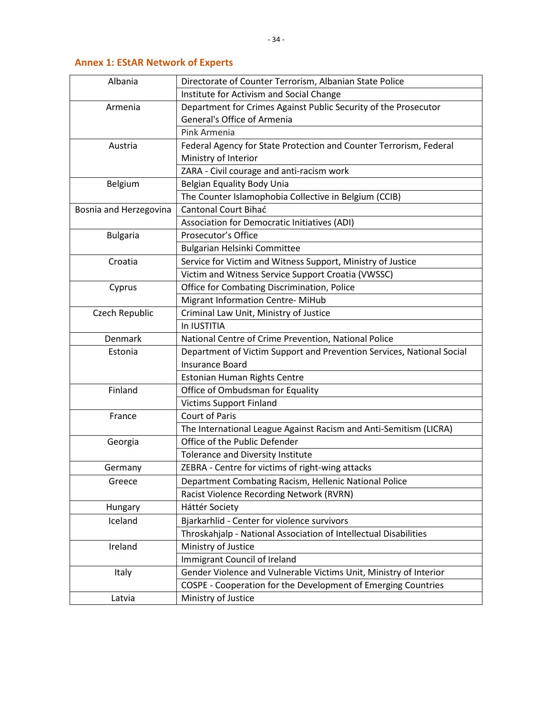<span id="page-37-0"></span>

| Albania                | Directorate of Counter Terrorism, Albanian State Police               |
|------------------------|-----------------------------------------------------------------------|
|                        | Institute for Activism and Social Change                              |
| Armenia                | Department for Crimes Against Public Security of the Prosecutor       |
|                        | General's Office of Armenia                                           |
|                        | Pink Armenia                                                          |
| Austria                | Federal Agency for State Protection and Counter Terrorism, Federal    |
|                        | Ministry of Interior                                                  |
|                        | ZARA - Civil courage and anti-racism work                             |
| Belgium                | Belgian Equality Body Unia                                            |
|                        | The Counter Islamophobia Collective in Belgium (CCIB)                 |
| Bosnia and Herzegovina | <b>Cantonal Court Bihać</b>                                           |
|                        | Association for Democratic Initiatives (ADI)                          |
| <b>Bulgaria</b>        | Prosecutor's Office                                                   |
|                        | Bulgarian Helsinki Committee                                          |
| Croatia                | Service for Victim and Witness Support, Ministry of Justice           |
|                        | Victim and Witness Service Support Croatia (VWSSC)                    |
| Cyprus                 | Office for Combating Discrimination, Police                           |
|                        | <b>Migrant Information Centre-MiHub</b>                               |
| Czech Republic         | Criminal Law Unit, Ministry of Justice                                |
|                        | In IUSTITIA                                                           |
| Denmark                | National Centre of Crime Prevention, National Police                  |
| Estonia                | Department of Victim Support and Prevention Services, National Social |
|                        | <b>Insurance Board</b>                                                |
|                        | Estonian Human Rights Centre                                          |
| Finland                | Office of Ombudsman for Equality                                      |
|                        | <b>Victims Support Finland</b>                                        |
| France                 | <b>Court of Paris</b>                                                 |
|                        | The International League Against Racism and Anti-Semitism (LICRA)     |
| Georgia                | Office of the Public Defender                                         |
|                        | Tolerance and Diversity Institute                                     |
| Germany                | ZEBRA - Centre for victims of right-wing attacks                      |
| Greece                 | Department Combating Racism, Hellenic National Police                 |
|                        | Racist Violence Recording Network (RVRN)                              |
| Hungary                | Háttér Society                                                        |
| Iceland                | Bjarkarhlid - Center for violence survivors                           |
|                        | Throskahjalp - National Association of Intellectual Disabilities      |
| Ireland                | Ministry of Justice                                                   |
|                        | Immigrant Council of Ireland                                          |
| Italy                  | Gender Violence and Vulnerable Victims Unit, Ministry of Interior     |
|                        | COSPE - Cooperation for the Development of Emerging Countries         |
| Latvia                 | Ministry of Justice                                                   |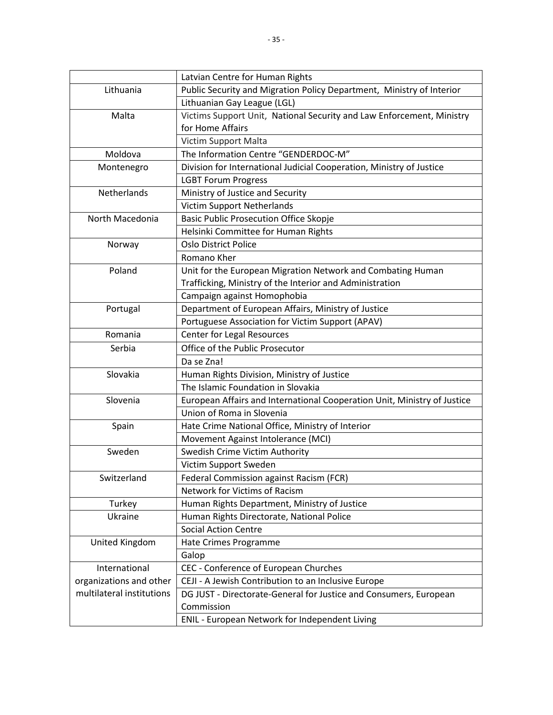|                           | Latvian Centre for Human Rights                                          |
|---------------------------|--------------------------------------------------------------------------|
| Lithuania                 | Public Security and Migration Policy Department, Ministry of Interior    |
|                           | Lithuanian Gay League (LGL)                                              |
| Malta                     | Victims Support Unit, National Security and Law Enforcement, Ministry    |
|                           | for Home Affairs                                                         |
|                           | Victim Support Malta                                                     |
| Moldova                   | The Information Centre "GENDERDOC-M"                                     |
| Montenegro                | Division for International Judicial Cooperation, Ministry of Justice     |
|                           | <b>LGBT Forum Progress</b>                                               |
| Netherlands               | Ministry of Justice and Security                                         |
|                           | <b>Victim Support Netherlands</b>                                        |
| North Macedonia           | <b>Basic Public Prosecution Office Skopje</b>                            |
|                           | Helsinki Committee for Human Rights                                      |
| Norway                    | <b>Oslo District Police</b>                                              |
|                           | Romano Kher                                                              |
| Poland                    | Unit for the European Migration Network and Combating Human              |
|                           | Trafficking, Ministry of the Interior and Administration                 |
|                           | Campaign against Homophobia                                              |
| Portugal                  | Department of European Affairs, Ministry of Justice                      |
|                           | Portuguese Association for Victim Support (APAV)                         |
| Romania                   | <b>Center for Legal Resources</b>                                        |
| Serbia                    | Office of the Public Prosecutor                                          |
|                           | Da se Zna!                                                               |
| Slovakia                  | Human Rights Division, Ministry of Justice                               |
|                           | The Islamic Foundation in Slovakia                                       |
| Slovenia                  | European Affairs and International Cooperation Unit, Ministry of Justice |
|                           | Union of Roma in Slovenia                                                |
| Spain                     | Hate Crime National Office, Ministry of Interior                         |
|                           | Movement Against Intolerance (MCI)                                       |
| Sweden                    | Swedish Crime Victim Authority                                           |
|                           | Victim Support Sweden                                                    |
| Switzerland               | Federal Commission against Racism (FCR)                                  |
|                           | Network for Victims of Racism                                            |
| Turkey                    | Human Rights Department, Ministry of Justice                             |
| Ukraine                   | Human Rights Directorate, National Police                                |
|                           | <b>Social Action Centre</b>                                              |
| United Kingdom            | Hate Crimes Programme                                                    |
|                           | Galop                                                                    |
| International             | CEC - Conference of European Churches                                    |
| organizations and other   | CEJI - A Jewish Contribution to an Inclusive Europe                      |
| multilateral institutions | DG JUST - Directorate-General for Justice and Consumers, European        |
|                           | Commission                                                               |
|                           | ENIL - European Network for Independent Living                           |